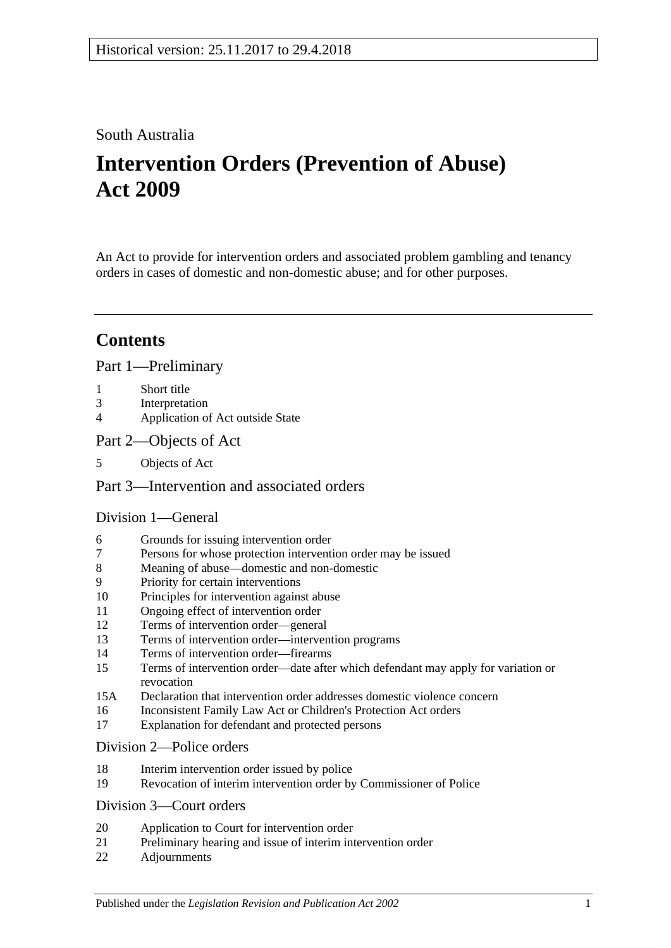## South Australia

# **Intervention Orders (Prevention of Abuse) Act 2009**

An Act to provide for intervention orders and associated problem gambling and tenancy orders in cases of domestic and non-domestic abuse; and for other purposes.

## **Contents**

### [Part 1—Preliminary](#page-3-0)

- 1 [Short title](#page-3-1)
- 3 [Interpretation](#page-3-2)
- 4 [Application of Act outside State](#page-6-0)
- [Part 2—Objects of Act](#page-6-1)
- 5 [Objects of Act](#page-6-2)

### [Part 3—Intervention and associated orders](#page-6-3)

### [Division 1—General](#page-6-4)

- 6 [Grounds for issuing intervention order](#page-6-5)
- 7 [Persons for whose protection intervention order may be issued](#page-6-6)
- 8 [Meaning of abuse—domestic and non-domestic](#page-7-0)
- 9 [Priority for certain interventions](#page-10-0)
- 10 [Principles for intervention against abuse](#page-10-1)
- 11 [Ongoing effect of intervention order](#page-11-0)
- 12 [Terms of intervention order—general](#page-11-1)
- 13 [Terms of intervention order—intervention programs](#page-13-0)
- 14 [Terms of intervention order—firearms](#page-13-1)
- 15 [Terms of intervention order—date after which defendant may apply for variation or](#page-14-0)  [revocation](#page-14-0)
- 15A [Declaration that intervention order addresses domestic violence concern](#page-14-1)
- 16 [Inconsistent Family Law Act or Children's Protection Act orders](#page-14-2)
- 17 [Explanation for defendant and protected persons](#page-14-3)

#### [Division 2—Police orders](#page-15-0)

- 18 [Interim intervention order issued by police](#page-15-1)
- 19 [Revocation of interim intervention order by Commissioner of Police](#page-16-0)

### [Division 3—Court orders](#page-16-1)

- 20 [Application to Court for intervention order](#page-16-2)
- 21 [Preliminary hearing and issue of interim intervention order](#page-17-0)
- 22 [Adjournments](#page-19-0)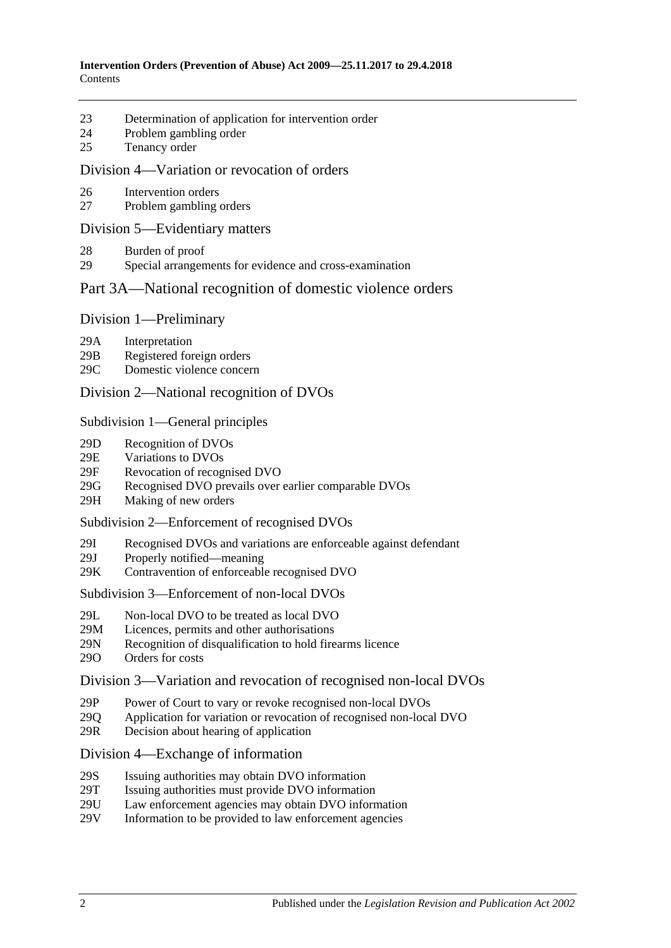- 23 [Determination of application for intervention order](#page-19-1)
- 24 [Problem gambling order](#page-21-0)
- 25 [Tenancy order](#page-22-0)

#### [Division 4—Variation or revocation of orders](#page-23-0)

- 26 [Intervention orders](#page-23-1)
- 27 [Problem gambling orders](#page-25-0)

#### [Division 5—Evidentiary matters](#page-25-1)

- 28 [Burden of proof](#page-25-2)
- 29 [Special arrangements for evidence and cross-examination](#page-25-3)

### [Part 3A—National recognition of domestic violence orders](#page-26-0)

#### Division [1—Preliminary](#page-26-1)

- 29A [Interpretation](#page-26-2)
- 29B [Registered foreign orders](#page-27-0)
- 29C [Domestic violence concern](#page-28-0)

#### Division [2—National recognition of DVOs](#page-28-1)

#### Subdivision [1—General principles](#page-28-2)

- 29D [Recognition of DVOs](#page-28-3)
- 29E [Variations to DVOs](#page-29-0)
- 29F [Revocation of recognised DVO](#page-29-1)
- 29G [Recognised DVO prevails over earlier comparable DVOs](#page-29-2)
- 29H [Making of new orders](#page-30-0)

#### Subdivision [2—Enforcement of recognised DVOs](#page-30-1)

- 29I [Recognised DVOs and variations are enforceable against defendant](#page-30-2)
- 29J [Properly notified—meaning](#page-31-0)
- 29K [Contravention of enforceable recognised DVO](#page-31-1)

Subdivision [3—Enforcement of non-local DVOs](#page-31-2)

- 29L [Non-local DVO to be treated as local DVO](#page-31-3)
- 29M [Licences, permits and other authorisations](#page-32-0)<br>29N Recognition of disqualification to hold fire
- [Recognition of disqualification to hold firearms licence](#page-32-1)
- 29O [Orders for costs](#page-32-2)

#### Division [3—Variation and revocation of recognised non-local DVOs](#page-33-0)

- 29P [Power of Court to vary or revoke recognised non-local DVOs](#page-33-1)
- 29Q [Application for variation or revocation of recognised non-local DVO](#page-33-2)
- 29R [Decision about hearing of application](#page-33-3)

#### Division [4—Exchange of information](#page-34-0)

- 29S [Issuing authorities may obtain DVO information](#page-34-1)
- 29T [Issuing authorities must provide DVO information](#page-34-2)
- 29U [Law enforcement agencies may obtain DVO information](#page-35-0)
- 29V [Information to be provided to law enforcement agencies](#page-35-1)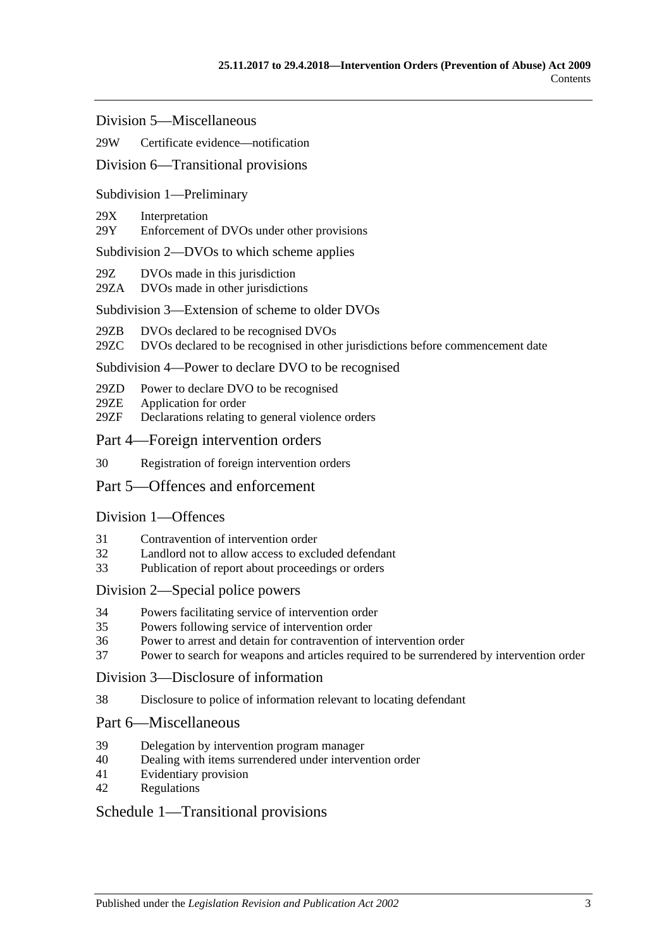Division [5—Miscellaneous](#page-35-2)

#### 29W [Certificate evidence—notification](#page-35-3)

#### Division [6—Transitional provisions](#page-36-0)

#### Subdivision [1—Preliminary](#page-36-1)

#### 29X [Interpretation](#page-36-2)

29Y [Enforcement of DVOs under other provisions](#page-36-3)

#### Subdivision [2—DVOs to which scheme applies](#page-36-4)

- 29Z [DVOs made in this jurisdiction](#page-36-5)
- 29ZA [DVOs made in other jurisdictions](#page-36-6)

#### Subdivision [3—Extension of scheme to older DVOs](#page-37-0)

- 29ZB [DVOs declared to be recognised DVOs](#page-37-1)
- 29ZC [DVOs declared to be recognised in other jurisdictions before commencement date](#page-37-2)

#### Subdivision [4—Power to declare DVO to be recognised](#page-37-3)

- 29ZD [Power to declare DVO to be recognised](#page-37-4)
- 29ZE [Application for order](#page-38-0)
- 29ZF [Declarations relating to general violence orders](#page-38-1)

#### [Part 4—Foreign intervention orders](#page-38-2)

30 [Registration of foreign intervention orders](#page-38-3)

### [Part 5—Offences and enforcement](#page-39-0)

#### [Division 1—Offences](#page-39-1)

- 31 [Contravention of intervention order](#page-39-2)
- 32 [Landlord not to allow access to excluded defendant](#page-39-3)
- 33 [Publication of report about proceedings or orders](#page-40-0)

#### [Division 2—Special police powers](#page-40-1)

- 34 [Powers facilitating service of intervention order](#page-40-2)
- 35 [Powers following service of intervention order](#page-41-0)
- 36 [Power to arrest and detain for contravention of intervention order](#page-42-0)
- 37 [Power to search for weapons and articles required to be surrendered by intervention order](#page-42-1)

#### [Division 3—Disclosure of information](#page-42-2)

38 [Disclosure to police of information relevant to locating defendant](#page-42-3)

#### [Part 6—Miscellaneous](#page-42-4)

- 39 [Delegation by intervention program manager](#page-42-5)
- 40 [Dealing with items surrendered under intervention order](#page-43-0)
- 41 [Evidentiary provision](#page-43-1)
- 42 [Regulations](#page-43-2)

#### [Schedule 1—Transitional provisions](#page-43-3)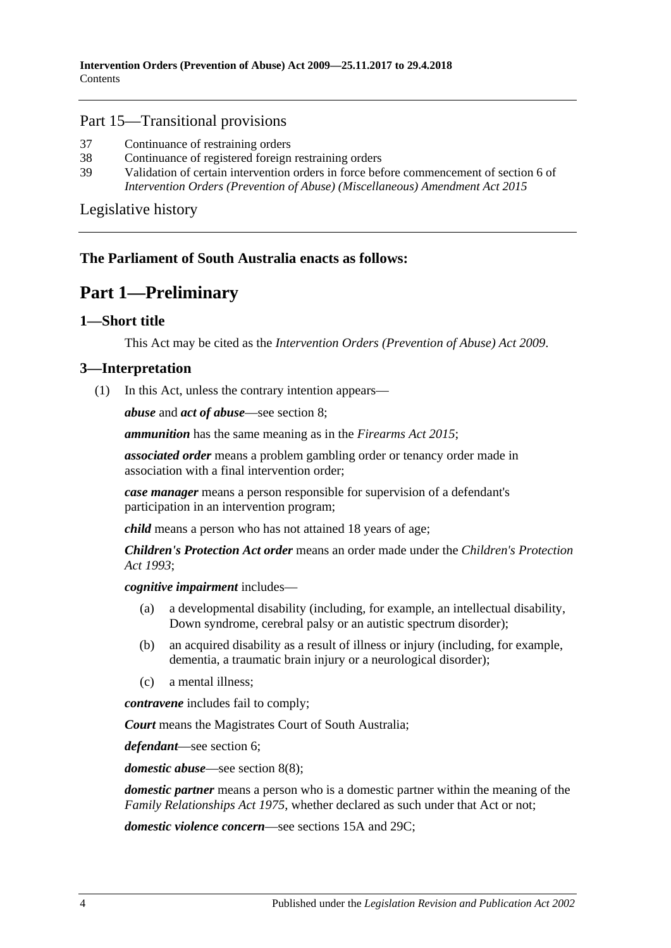### Part 15—Transitional provisions

- 37 [Continuance of restraining orders](#page-43-4)
- 38 [Continuance of registered foreign restraining orders](#page-43-5)
- 39 [Validation of certain intervention orders in force before commencement of section](#page-44-0) 6 of *[Intervention Orders \(Prevention of Abuse\) \(Miscellaneous\) Amendment Act](#page-44-0) 2015*

[Legislative history](#page-45-0)

## <span id="page-3-0"></span>**The Parliament of South Australia enacts as follows:**

## **Part 1—Preliminary**

## <span id="page-3-1"></span>**1—Short title**

This Act may be cited as the *Intervention Orders (Prevention of Abuse) Act 2009*.

## <span id="page-3-3"></span><span id="page-3-2"></span>**3—Interpretation**

(1) In this Act, unless the contrary intention appears—

*abuse* and *act of abuse*—see [section](#page-7-0) 8;

*ammunition* has the same meaning as in the *[Firearms Act 2015](http://www.legislation.sa.gov.au/index.aspx?action=legref&type=act&legtitle=Firearms%20Act%202015)*;

*associated order* means a problem gambling order or tenancy order made in association with a final intervention order;

*case manager* means a person responsible for supervision of a defendant's participation in an intervention program;

*child* means a person who has not attained 18 years of age;

*Children's Protection Act order* means an order made under the *[Children's Protection](http://www.legislation.sa.gov.au/index.aspx?action=legref&type=act&legtitle=Childrens%20Protection%20Act%201993)  Act [1993](http://www.legislation.sa.gov.au/index.aspx?action=legref&type=act&legtitle=Childrens%20Protection%20Act%201993)*;

*cognitive impairment* includes—

- (a) a developmental disability (including, for example, an intellectual disability, Down syndrome, cerebral palsy or an autistic spectrum disorder);
- (b) an acquired disability as a result of illness or injury (including, for example, dementia, a traumatic brain injury or a neurological disorder);
- (c) a mental illness;

*contravene* includes fail to comply;

*Court* means the Magistrates Court of South Australia;

*defendant*—see [section](#page-6-5) 6;

*domestic abuse*—see [section](#page-9-0) 8(8);

*domestic partner* means a person who is a domestic partner within the meaning of the *[Family Relationships Act](http://www.legislation.sa.gov.au/index.aspx?action=legref&type=act&legtitle=Family%20Relationships%20Act%201975) 1975*, whether declared as such under that Act or not;

*domestic violence concern*—see [sections](#page-14-1) 15A and [29C;](#page-28-0)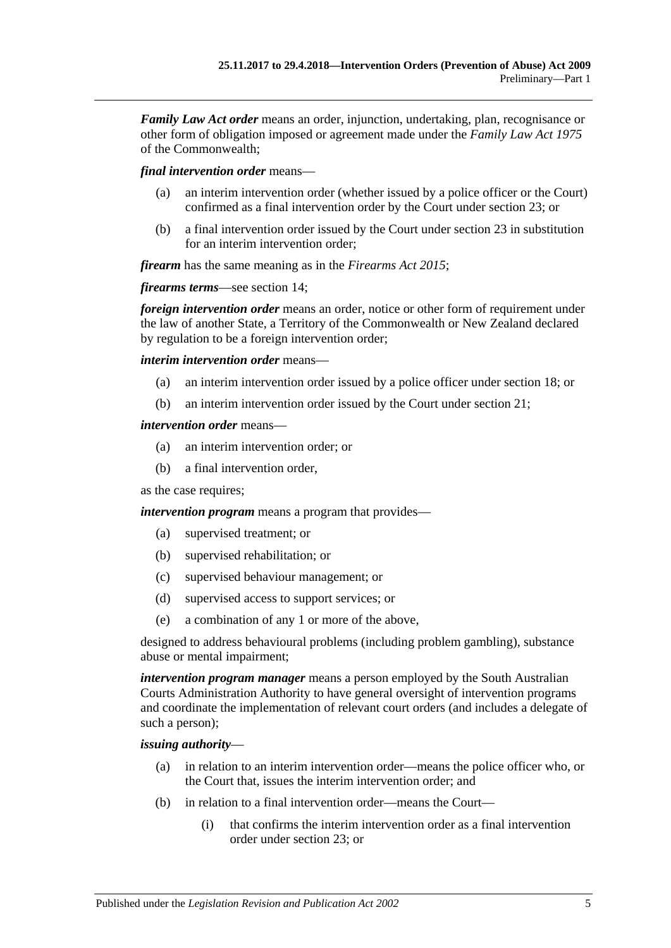*Family Law Act order* means an order, injunction, undertaking, plan, recognisance or other form of obligation imposed or agreement made under the *Family Law Act 1975* of the Commonwealth;

*final intervention order* means—

- (a) an interim intervention order (whether issued by a police officer or the Court) confirmed as a final intervention order by the Court under [section](#page-19-1) 23; or
- (b) a final intervention order issued by the Court under [section](#page-19-1) 23 in substitution for an interim intervention order;

*firearm* has the same meaning as in the *[Firearms Act](http://www.legislation.sa.gov.au/index.aspx?action=legref&type=act&legtitle=Firearms%20Act%202015) 2015*;

*firearms terms*—see [section](#page-13-1) 14;

*foreign intervention order* means an order, notice or other form of requirement under the law of another State, a Territory of the Commonwealth or New Zealand declared by regulation to be a foreign intervention order;

*interim intervention order* means—

- (a) an interim intervention order issued by a police officer under [section](#page-15-1) 18; or
- (b) an interim intervention order issued by the Court under [section](#page-17-0) 21;

#### *intervention order* means—

- (a) an interim intervention order; or
- (b) a final intervention order,

as the case requires;

*intervention program* means a program that provides—

- (a) supervised treatment; or
- (b) supervised rehabilitation; or
- (c) supervised behaviour management; or
- (d) supervised access to support services; or
- (e) a combination of any 1 or more of the above,

designed to address behavioural problems (including problem gambling), substance abuse or mental impairment;

*intervention program manager* means a person employed by the South Australian Courts Administration Authority to have general oversight of intervention programs and coordinate the implementation of relevant court orders (and includes a delegate of such a person);

#### *issuing authority*—

- (a) in relation to an interim intervention order—means the police officer who, or the Court that, issues the interim intervention order; and
- (b) in relation to a final intervention order—means the Court—
	- (i) that confirms the interim intervention order as a final intervention order under [section](#page-19-1) 23; or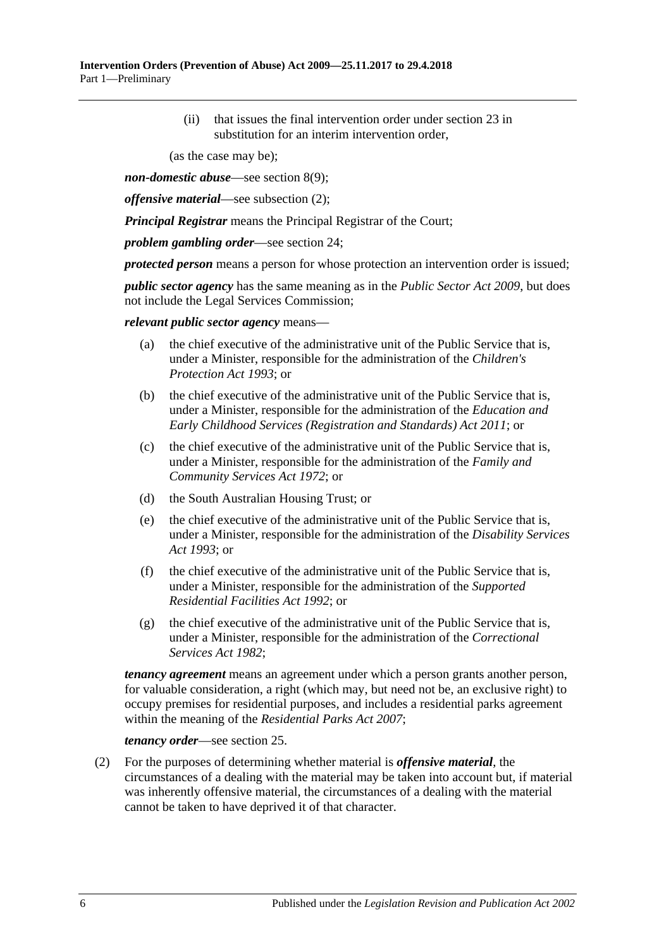(ii) that issues the final intervention order under [section](#page-19-1) 23 in substitution for an interim intervention order,

(as the case may be);

*non-domestic abuse*—see [section](#page-10-2) 8(9);

*offensive material*—see [subsection](#page-5-0) (2);

*Principal Registrar* means the Principal Registrar of the Court;

*problem gambling order*—see [section](#page-21-0) 24;

*protected person* means a person for whose protection an intervention order is issued;

*public sector agency* has the same meaning as in the *[Public Sector Act](http://www.legislation.sa.gov.au/index.aspx?action=legref&type=act&legtitle=Public%20Sector%20Act%202009) 2009*, but does not include the Legal Services Commission;

*relevant public sector agency* means—

- (a) the chief executive of the administrative unit of the Public Service that is, under a Minister, responsible for the administration of the *[Children's](http://www.legislation.sa.gov.au/index.aspx?action=legref&type=act&legtitle=Childrens%20Protection%20Act%201993)  [Protection Act](http://www.legislation.sa.gov.au/index.aspx?action=legref&type=act&legtitle=Childrens%20Protection%20Act%201993) 1993*; or
- (b) the chief executive of the administrative unit of the Public Service that is, under a Minister, responsible for the administration of the *[Education and](http://www.legislation.sa.gov.au/index.aspx?action=legref&type=act&legtitle=Education%20and%20Early%20Childhood%20Services%20(Registration%20and%20Standards)%20Act%202011)  [Early Childhood Services \(Registration and Standards\) Act](http://www.legislation.sa.gov.au/index.aspx?action=legref&type=act&legtitle=Education%20and%20Early%20Childhood%20Services%20(Registration%20and%20Standards)%20Act%202011) 2011*; or
- (c) the chief executive of the administrative unit of the Public Service that is, under a Minister, responsible for the administration of the *[Family and](http://www.legislation.sa.gov.au/index.aspx?action=legref&type=act&legtitle=Family%20and%20Community%20Services%20Act%201972)  [Community Services Act](http://www.legislation.sa.gov.au/index.aspx?action=legref&type=act&legtitle=Family%20and%20Community%20Services%20Act%201972) 1972*; or
- (d) the South Australian Housing Trust; or
- (e) the chief executive of the administrative unit of the Public Service that is, under a Minister, responsible for the administration of the *[Disability Services](http://www.legislation.sa.gov.au/index.aspx?action=legref&type=act&legtitle=Disability%20Services%20Act%201993)  Act [1993](http://www.legislation.sa.gov.au/index.aspx?action=legref&type=act&legtitle=Disability%20Services%20Act%201993)*; or
- (f) the chief executive of the administrative unit of the Public Service that is, under a Minister, responsible for the administration of the *[Supported](http://www.legislation.sa.gov.au/index.aspx?action=legref&type=act&legtitle=Supported%20Residential%20Facilities%20Act%201992)  [Residential Facilities Act](http://www.legislation.sa.gov.au/index.aspx?action=legref&type=act&legtitle=Supported%20Residential%20Facilities%20Act%201992) 1992*; or
- (g) the chief executive of the administrative unit of the Public Service that is, under a Minister, responsible for the administration of the *[Correctional](http://www.legislation.sa.gov.au/index.aspx?action=legref&type=act&legtitle=Correctional%20Services%20Act%201982)  [Services Act](http://www.legislation.sa.gov.au/index.aspx?action=legref&type=act&legtitle=Correctional%20Services%20Act%201982) 1982*;

*tenancy agreement* means an agreement under which a person grants another person, for valuable consideration, a right (which may, but need not be, an exclusive right) to occupy premises for residential purposes, and includes a residential parks agreement within the meaning of the *[Residential Parks Act](http://www.legislation.sa.gov.au/index.aspx?action=legref&type=act&legtitle=Residential%20Parks%20Act%202007) 2007*;

*tenancy order*—see [section](#page-22-0) 25.

<span id="page-5-0"></span>(2) For the purposes of determining whether material is *offensive material*, the circumstances of a dealing with the material may be taken into account but, if material was inherently offensive material, the circumstances of a dealing with the material cannot be taken to have deprived it of that character.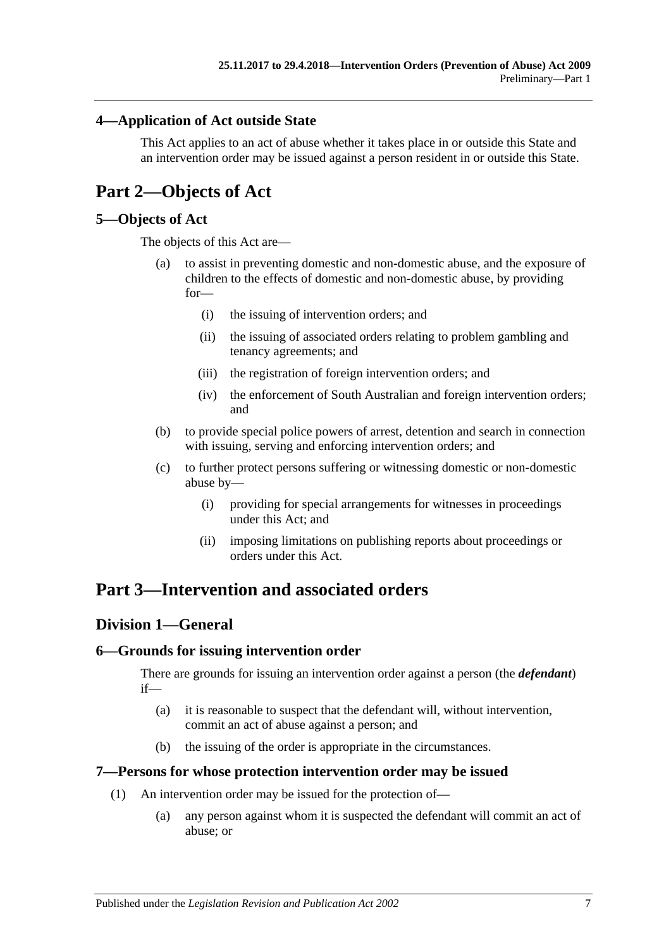## <span id="page-6-0"></span>**4—Application of Act outside State**

This Act applies to an act of abuse whether it takes place in or outside this State and an intervention order may be issued against a person resident in or outside this State.

## <span id="page-6-1"></span>**Part 2—Objects of Act**

## <span id="page-6-2"></span>**5—Objects of Act**

The objects of this Act are—

- (a) to assist in preventing domestic and non-domestic abuse, and the exposure of children to the effects of domestic and non-domestic abuse, by providing for—
	- (i) the issuing of intervention orders; and
	- (ii) the issuing of associated orders relating to problem gambling and tenancy agreements; and
	- (iii) the registration of foreign intervention orders; and
	- (iv) the enforcement of South Australian and foreign intervention orders; and
- (b) to provide special police powers of arrest, detention and search in connection with issuing, serving and enforcing intervention orders; and
- (c) to further protect persons suffering or witnessing domestic or non-domestic abuse by—
	- (i) providing for special arrangements for witnesses in proceedings under this Act; and
	- (ii) imposing limitations on publishing reports about proceedings or orders under this Act.

## <span id="page-6-3"></span>**Part 3—Intervention and associated orders**

## <span id="page-6-4"></span>**Division 1—General**

## <span id="page-6-5"></span>**6—Grounds for issuing intervention order**

There are grounds for issuing an intervention order against a person (the *defendant*) if—

- (a) it is reasonable to suspect that the defendant will, without intervention, commit an act of abuse against a person; and
- (b) the issuing of the order is appropriate in the circumstances.

#### <span id="page-6-6"></span>**7—Persons for whose protection intervention order may be issued**

- (1) An intervention order may be issued for the protection of—
	- (a) any person against whom it is suspected the defendant will commit an act of abuse; or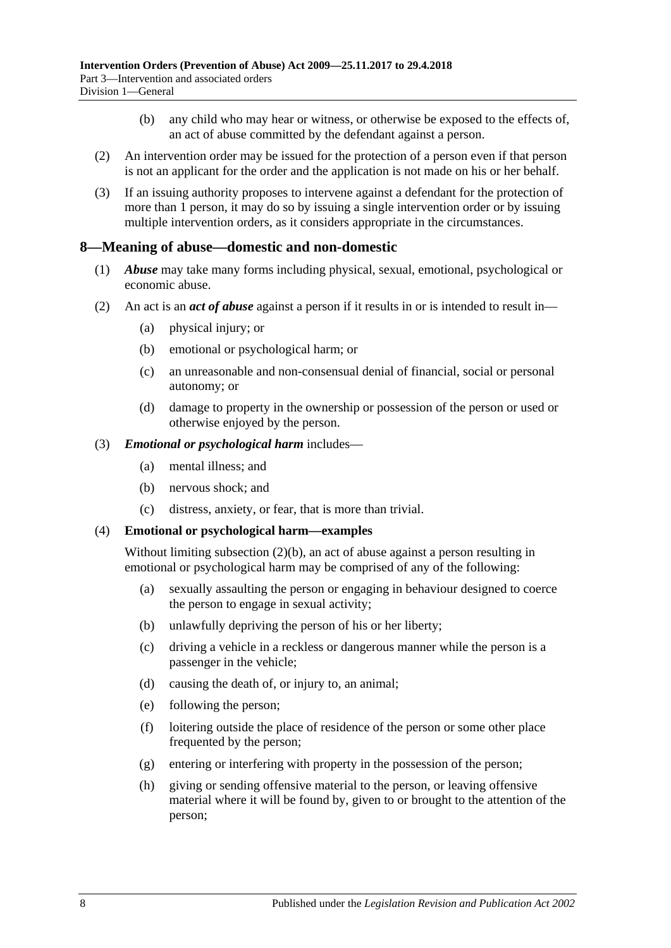- (b) any child who may hear or witness, or otherwise be exposed to the effects of, an act of abuse committed by the defendant against a person.
- (2) An intervention order may be issued for the protection of a person even if that person is not an applicant for the order and the application is not made on his or her behalf.
- (3) If an issuing authority proposes to intervene against a defendant for the protection of more than 1 person, it may do so by issuing a single intervention order or by issuing multiple intervention orders, as it considers appropriate in the circumstances.

### <span id="page-7-0"></span>**8—Meaning of abuse—domestic and non-domestic**

- (1) *Abuse* may take many forms including physical, sexual, emotional, psychological or economic abuse.
- <span id="page-7-2"></span><span id="page-7-1"></span>(2) An act is an *act of abuse* against a person if it results in or is intended to result in—
	- (a) physical injury; or
	- (b) emotional or psychological harm; or
	- (c) an unreasonable and non-consensual denial of financial, social or personal autonomy; or
	- (d) damage to property in the ownership or possession of the person or used or otherwise enjoyed by the person.
- (3) *Emotional or psychological harm* includes—
	- (a) mental illness; and
	- (b) nervous shock; and
	- (c) distress, anxiety, or fear, that is more than trivial.

#### (4) **Emotional or psychological harm—examples**

Without limiting [subsection](#page-7-1) (2)(b), an act of abuse against a person resulting in emotional or psychological harm may be comprised of any of the following:

- (a) sexually assaulting the person or engaging in behaviour designed to coerce the person to engage in sexual activity;
- (b) unlawfully depriving the person of his or her liberty;
- (c) driving a vehicle in a reckless or dangerous manner while the person is a passenger in the vehicle;
- (d) causing the death of, or injury to, an animal;
- (e) following the person;
- (f) loitering outside the place of residence of the person or some other place frequented by the person;
- (g) entering or interfering with property in the possession of the person;
- (h) giving or sending offensive material to the person, or leaving offensive material where it will be found by, given to or brought to the attention of the person;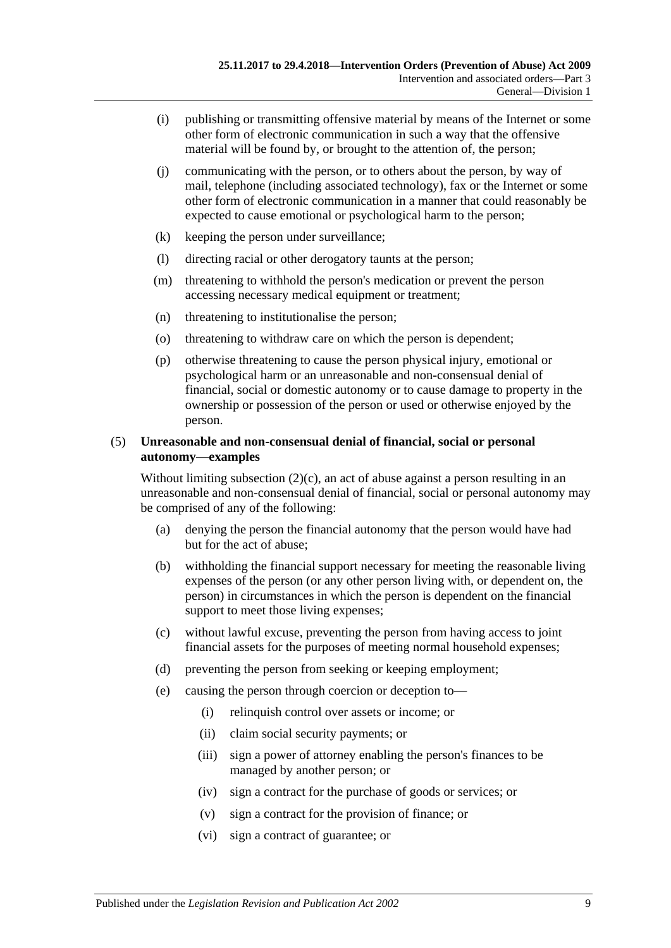- (i) publishing or transmitting offensive material by means of the Internet or some other form of electronic communication in such a way that the offensive material will be found by, or brought to the attention of, the person;
- (j) communicating with the person, or to others about the person, by way of mail, telephone (including associated technology), fax or the Internet or some other form of electronic communication in a manner that could reasonably be expected to cause emotional or psychological harm to the person;
- (k) keeping the person under surveillance;
- (l) directing racial or other derogatory taunts at the person;
- (m) threatening to withhold the person's medication or prevent the person accessing necessary medical equipment or treatment;
- (n) threatening to institutionalise the person;
- (o) threatening to withdraw care on which the person is dependent;
- (p) otherwise threatening to cause the person physical injury, emotional or psychological harm or an unreasonable and non-consensual denial of financial, social or domestic autonomy or to cause damage to property in the ownership or possession of the person or used or otherwise enjoyed by the person.

#### (5) **Unreasonable and non-consensual denial of financial, social or personal autonomy—examples**

Without limiting [subsection](#page-7-2)  $(2)(c)$ , an act of abuse against a person resulting in an unreasonable and non-consensual denial of financial, social or personal autonomy may be comprised of any of the following:

- (a) denying the person the financial autonomy that the person would have had but for the act of abuse;
- (b) withholding the financial support necessary for meeting the reasonable living expenses of the person (or any other person living with, or dependent on, the person) in circumstances in which the person is dependent on the financial support to meet those living expenses;
- (c) without lawful excuse, preventing the person from having access to joint financial assets for the purposes of meeting normal household expenses;
- (d) preventing the person from seeking or keeping employment;
- (e) causing the person through coercion or deception to—
	- (i) relinquish control over assets or income; or
	- (ii) claim social security payments; or
	- (iii) sign a power of attorney enabling the person's finances to be managed by another person; or
	- (iv) sign a contract for the purchase of goods or services; or
	- (v) sign a contract for the provision of finance; or
	- (vi) sign a contract of guarantee; or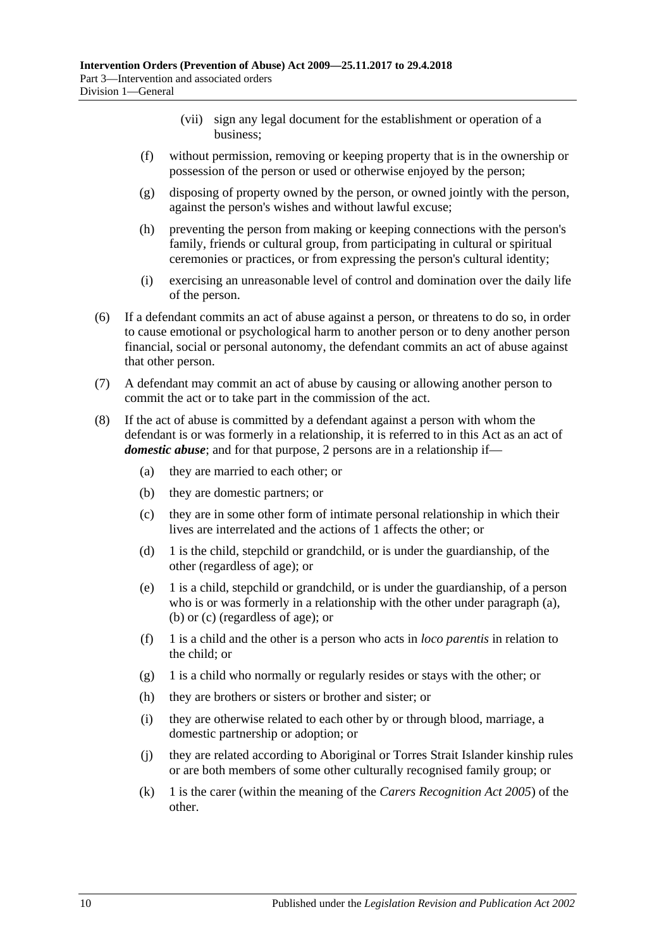- (vii) sign any legal document for the establishment or operation of a business;
- (f) without permission, removing or keeping property that is in the ownership or possession of the person or used or otherwise enjoyed by the person;
- (g) disposing of property owned by the person, or owned jointly with the person, against the person's wishes and without lawful excuse;
- (h) preventing the person from making or keeping connections with the person's family, friends or cultural group, from participating in cultural or spiritual ceremonies or practices, or from expressing the person's cultural identity;
- (i) exercising an unreasonable level of control and domination over the daily life of the person.
- (6) If a defendant commits an act of abuse against a person, or threatens to do so, in order to cause emotional or psychological harm to another person or to deny another person financial, social or personal autonomy, the defendant commits an act of abuse against that other person.
- (7) A defendant may commit an act of abuse by causing or allowing another person to commit the act or to take part in the commission of the act.
- <span id="page-9-3"></span><span id="page-9-2"></span><span id="page-9-1"></span><span id="page-9-0"></span>(8) If the act of abuse is committed by a defendant against a person with whom the defendant is or was formerly in a relationship, it is referred to in this Act as an act of *domestic abuse*; and for that purpose, 2 persons are in a relationship if—
	- (a) they are married to each other; or
	- (b) they are domestic partners; or
	- (c) they are in some other form of intimate personal relationship in which their lives are interrelated and the actions of 1 affects the other; or
	- (d) 1 is the child, stepchild or grandchild, or is under the guardianship, of the other (regardless of age); or
	- (e) 1 is a child, stepchild or grandchild, or is under the guardianship, of a person who is or was formerly in a relationship with the other under [paragraph](#page-9-1) (a), [\(b\)](#page-9-2) or [\(c\)](#page-9-3) (regardless of age); or
	- (f) 1 is a child and the other is a person who acts in *loco parentis* in relation to the child; or
	- (g) 1 is a child who normally or regularly resides or stays with the other; or
	- (h) they are brothers or sisters or brother and sister; or
	- (i) they are otherwise related to each other by or through blood, marriage, a domestic partnership or adoption; or
	- (j) they are related according to Aboriginal or Torres Strait Islander kinship rules or are both members of some other culturally recognised family group; or
	- (k) 1 is the carer (within the meaning of the *[Carers Recognition Act](http://www.legislation.sa.gov.au/index.aspx?action=legref&type=act&legtitle=Carers%20Recognition%20Act%202005) 2005*) of the other.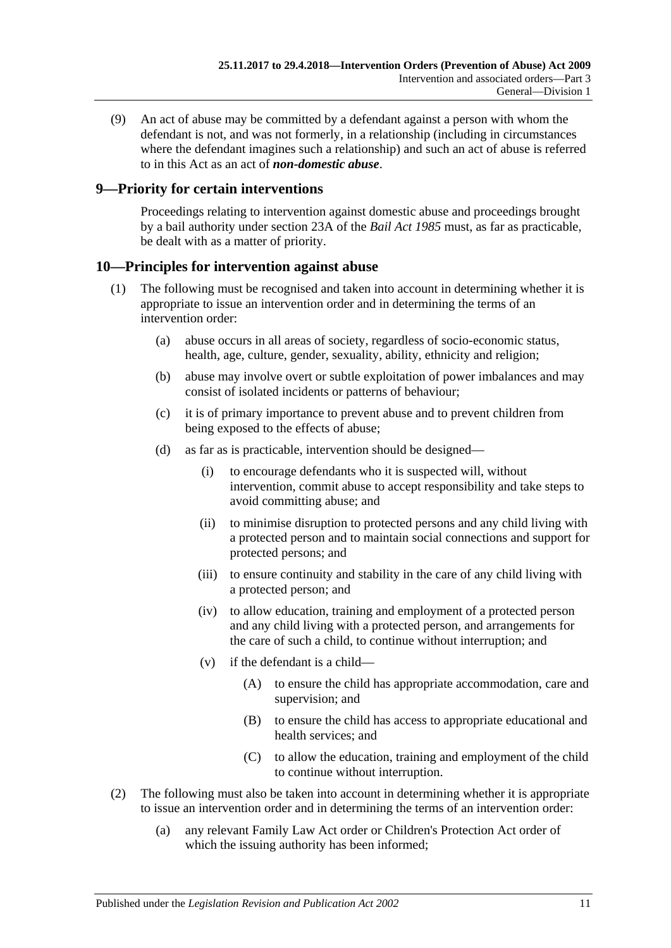<span id="page-10-2"></span>(9) An act of abuse may be committed by a defendant against a person with whom the defendant is not, and was not formerly, in a relationship (including in circumstances where the defendant imagines such a relationship) and such an act of abuse is referred to in this Act as an act of *non-domestic abuse*.

## <span id="page-10-0"></span>**9—Priority for certain interventions**

Proceedings relating to intervention against domestic abuse and proceedings brought by a bail authority under section 23A of the *[Bail Act](http://www.legislation.sa.gov.au/index.aspx?action=legref&type=act&legtitle=Bail%20Act%201985) 1985* must, as far as practicable, be dealt with as a matter of priority.

## <span id="page-10-1"></span>**10—Principles for intervention against abuse**

- (1) The following must be recognised and taken into account in determining whether it is appropriate to issue an intervention order and in determining the terms of an intervention order:
	- (a) abuse occurs in all areas of society, regardless of socio-economic status, health, age, culture, gender, sexuality, ability, ethnicity and religion;
	- (b) abuse may involve overt or subtle exploitation of power imbalances and may consist of isolated incidents or patterns of behaviour;
	- (c) it is of primary importance to prevent abuse and to prevent children from being exposed to the effects of abuse;
	- (d) as far as is practicable, intervention should be designed—
		- (i) to encourage defendants who it is suspected will, without intervention, commit abuse to accept responsibility and take steps to avoid committing abuse; and
		- (ii) to minimise disruption to protected persons and any child living with a protected person and to maintain social connections and support for protected persons; and
		- (iii) to ensure continuity and stability in the care of any child living with a protected person; and
		- (iv) to allow education, training and employment of a protected person and any child living with a protected person, and arrangements for the care of such a child, to continue without interruption; and
		- (v) if the defendant is a child—
			- (A) to ensure the child has appropriate accommodation, care and supervision; and
			- (B) to ensure the child has access to appropriate educational and health services; and
			- (C) to allow the education, training and employment of the child to continue without interruption.
- (2) The following must also be taken into account in determining whether it is appropriate to issue an intervention order and in determining the terms of an intervention order:
	- (a) any relevant Family Law Act order or Children's Protection Act order of which the issuing authority has been informed;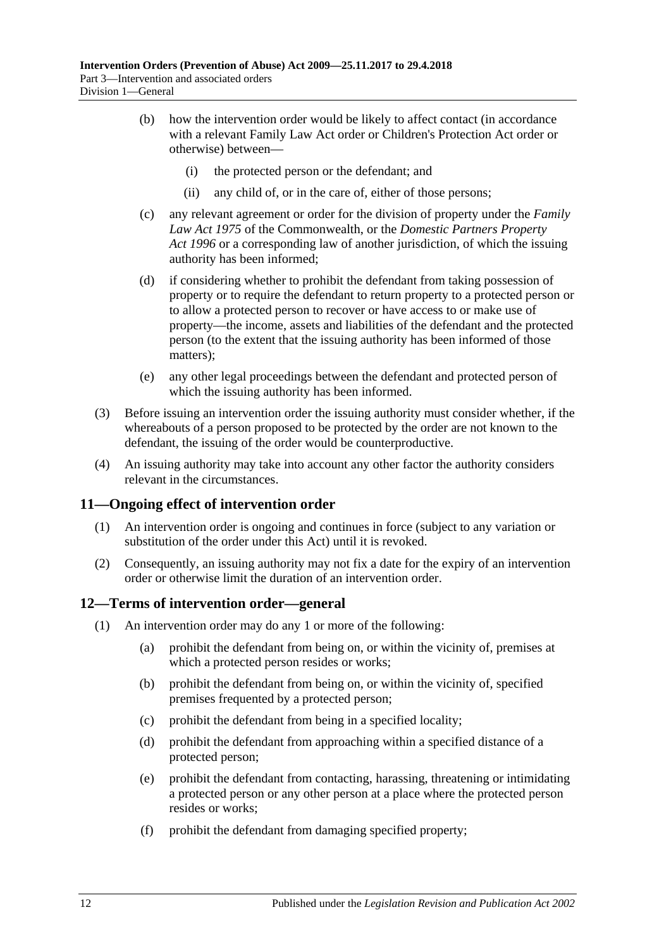- (b) how the intervention order would be likely to affect contact (in accordance with a relevant Family Law Act order or Children's Protection Act order or otherwise) between—
	- (i) the protected person or the defendant; and
	- (ii) any child of, or in the care of, either of those persons;
- (c) any relevant agreement or order for the division of property under the *Family Law Act 1975* of the Commonwealth, or the *[Domestic Partners Property](http://www.legislation.sa.gov.au/index.aspx?action=legref&type=act&legtitle=Domestic%20Partners%20Property%20Act%201996)  Act [1996](http://www.legislation.sa.gov.au/index.aspx?action=legref&type=act&legtitle=Domestic%20Partners%20Property%20Act%201996)* or a corresponding law of another jurisdiction, of which the issuing authority has been informed;
- (d) if considering whether to prohibit the defendant from taking possession of property or to require the defendant to return property to a protected person or to allow a protected person to recover or have access to or make use of property—the income, assets and liabilities of the defendant and the protected person (to the extent that the issuing authority has been informed of those matters);
- (e) any other legal proceedings between the defendant and protected person of which the issuing authority has been informed.
- (3) Before issuing an intervention order the issuing authority must consider whether, if the whereabouts of a person proposed to be protected by the order are not known to the defendant, the issuing of the order would be counterproductive.
- (4) An issuing authority may take into account any other factor the authority considers relevant in the circumstances.

#### <span id="page-11-0"></span>**11—Ongoing effect of intervention order**

- (1) An intervention order is ongoing and continues in force (subject to any variation or substitution of the order under this Act) until it is revoked.
- (2) Consequently, an issuing authority may not fix a date for the expiry of an intervention order or otherwise limit the duration of an intervention order.

#### <span id="page-11-1"></span>**12—Terms of intervention order—general**

- <span id="page-11-2"></span>(1) An intervention order may do any 1 or more of the following:
	- (a) prohibit the defendant from being on, or within the vicinity of, premises at which a protected person resides or works;
	- (b) prohibit the defendant from being on, or within the vicinity of, specified premises frequented by a protected person;
	- (c) prohibit the defendant from being in a specified locality;
	- (d) prohibit the defendant from approaching within a specified distance of a protected person;
	- (e) prohibit the defendant from contacting, harassing, threatening or intimidating a protected person or any other person at a place where the protected person resides or works;
	- (f) prohibit the defendant from damaging specified property;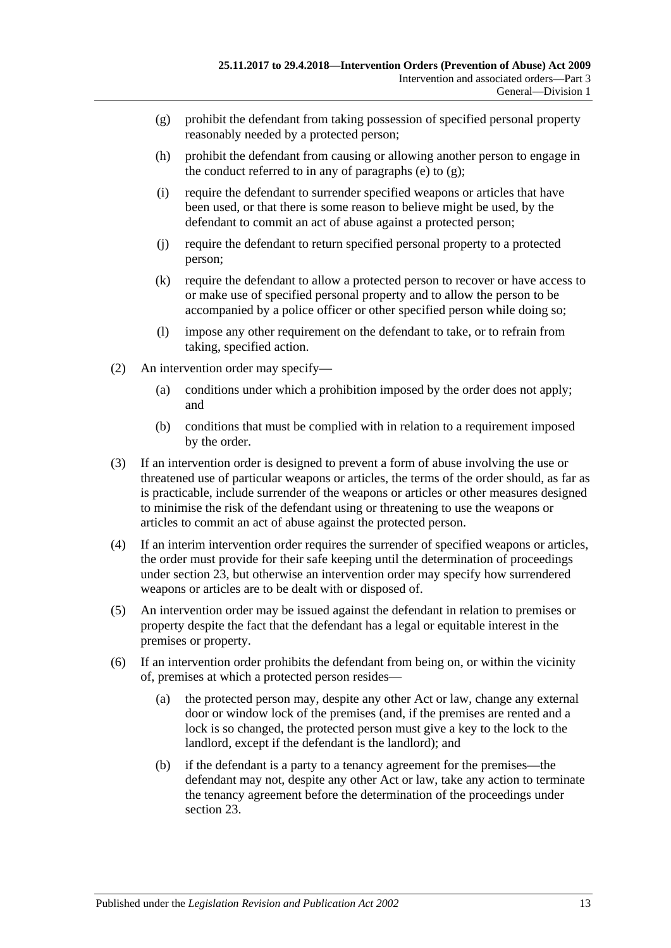- <span id="page-12-0"></span>(g) prohibit the defendant from taking possession of specified personal property reasonably needed by a protected person;
- (h) prohibit the defendant from causing or allowing another person to engage in the conduct referred to in any of [paragraphs](#page-11-2) (e) to  $(g)$ ;
- (i) require the defendant to surrender specified weapons or articles that have been used, or that there is some reason to believe might be used, by the defendant to commit an act of abuse against a protected person;
- (j) require the defendant to return specified personal property to a protected person;
- (k) require the defendant to allow a protected person to recover or have access to or make use of specified personal property and to allow the person to be accompanied by a police officer or other specified person while doing so;
- (l) impose any other requirement on the defendant to take, or to refrain from taking, specified action.
- (2) An intervention order may specify—
	- (a) conditions under which a prohibition imposed by the order does not apply; and
	- (b) conditions that must be complied with in relation to a requirement imposed by the order.
- (3) If an intervention order is designed to prevent a form of abuse involving the use or threatened use of particular weapons or articles, the terms of the order should, as far as is practicable, include surrender of the weapons or articles or other measures designed to minimise the risk of the defendant using or threatening to use the weapons or articles to commit an act of abuse against the protected person.
- (4) If an interim intervention order requires the surrender of specified weapons or articles, the order must provide for their safe keeping until the determination of proceedings under [section](#page-19-1) 23, but otherwise an intervention order may specify how surrendered weapons or articles are to be dealt with or disposed of.
- (5) An intervention order may be issued against the defendant in relation to premises or property despite the fact that the defendant has a legal or equitable interest in the premises or property.
- (6) If an intervention order prohibits the defendant from being on, or within the vicinity of, premises at which a protected person resides—
	- (a) the protected person may, despite any other Act or law, change any external door or window lock of the premises (and, if the premises are rented and a lock is so changed, the protected person must give a key to the lock to the landlord, except if the defendant is the landlord); and
	- (b) if the defendant is a party to a tenancy agreement for the premises—the defendant may not, despite any other Act or law, take any action to terminate the tenancy agreement before the determination of the proceedings under [section](#page-19-1) 23.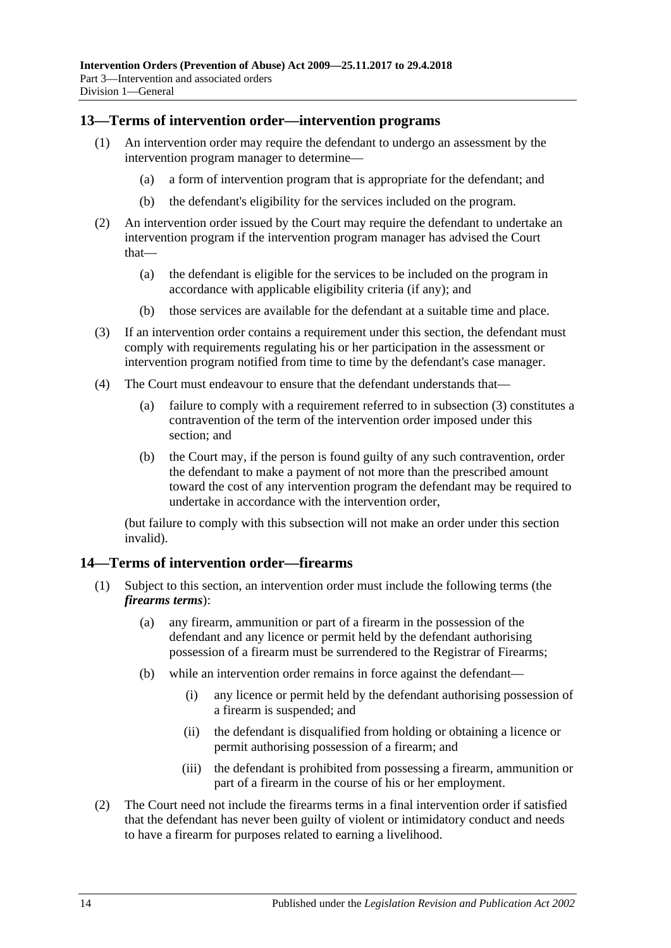### <span id="page-13-0"></span>**13—Terms of intervention order—intervention programs**

- (1) An intervention order may require the defendant to undergo an assessment by the intervention program manager to determine—
	- (a) a form of intervention program that is appropriate for the defendant; and
	- (b) the defendant's eligibility for the services included on the program.
- (2) An intervention order issued by the Court may require the defendant to undertake an intervention program if the intervention program manager has advised the Court that—
	- (a) the defendant is eligible for the services to be included on the program in accordance with applicable eligibility criteria (if any); and
	- (b) those services are available for the defendant at a suitable time and place.
- <span id="page-13-2"></span>(3) If an intervention order contains a requirement under this section, the defendant must comply with requirements regulating his or her participation in the assessment or intervention program notified from time to time by the defendant's case manager.
- (4) The Court must endeavour to ensure that the defendant understands that—
	- (a) failure to comply with a requirement referred to in [subsection](#page-13-2) (3) constitutes a contravention of the term of the intervention order imposed under this section; and
	- (b) the Court may, if the person is found guilty of any such contravention, order the defendant to make a payment of not more than the prescribed amount toward the cost of any intervention program the defendant may be required to undertake in accordance with the intervention order,

(but failure to comply with this subsection will not make an order under this section invalid).

### <span id="page-13-1"></span>**14—Terms of intervention order—firearms**

- (1) Subject to this section, an intervention order must include the following terms (the *firearms terms*):
	- (a) any firearm, ammunition or part of a firearm in the possession of the defendant and any licence or permit held by the defendant authorising possession of a firearm must be surrendered to the Registrar of Firearms;
	- (b) while an intervention order remains in force against the defendant—
		- (i) any licence or permit held by the defendant authorising possession of a firearm is suspended; and
		- (ii) the defendant is disqualified from holding or obtaining a licence or permit authorising possession of a firearm; and
		- (iii) the defendant is prohibited from possessing a firearm, ammunition or part of a firearm in the course of his or her employment.
- (2) The Court need not include the firearms terms in a final intervention order if satisfied that the defendant has never been guilty of violent or intimidatory conduct and needs to have a firearm for purposes related to earning a livelihood.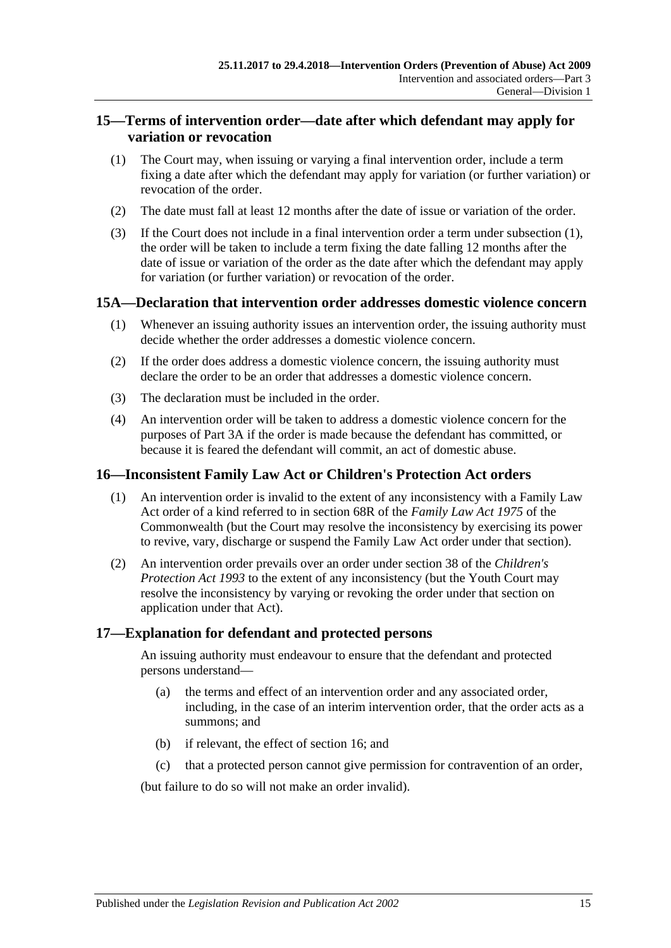## <span id="page-14-0"></span>**15—Terms of intervention order—date after which defendant may apply for variation or revocation**

- <span id="page-14-4"></span>(1) The Court may, when issuing or varying a final intervention order, include a term fixing a date after which the defendant may apply for variation (or further variation) or revocation of the order.
- (2) The date must fall at least 12 months after the date of issue or variation of the order.
- (3) If the Court does not include in a final intervention order a term under [subsection](#page-14-4) (1), the order will be taken to include a term fixing the date falling 12 months after the date of issue or variation of the order as the date after which the defendant may apply for variation (or further variation) or revocation of the order.

### <span id="page-14-1"></span>**15A—Declaration that intervention order addresses domestic violence concern**

- (1) Whenever an issuing authority issues an intervention order, the issuing authority must decide whether the order addresses a domestic violence concern.
- (2) If the order does address a domestic violence concern, the issuing authority must declare the order to be an order that addresses a domestic violence concern.
- (3) The declaration must be included in the order.
- (4) An intervention order will be taken to address a domestic violence concern for the purposes of [Part 3A](#page-26-0) if the order is made because the defendant has committed, or because it is feared the defendant will commit, an act of domestic abuse.

### <span id="page-14-2"></span>**16—Inconsistent Family Law Act or Children's Protection Act orders**

- (1) An intervention order is invalid to the extent of any inconsistency with a Family Law Act order of a kind referred to in section 68R of the *Family Law Act 1975* of the Commonwealth (but the Court may resolve the inconsistency by exercising its power to revive, vary, discharge or suspend the Family Law Act order under that section).
- (2) An intervention order prevails over an order under section 38 of the *[Children's](http://www.legislation.sa.gov.au/index.aspx?action=legref&type=act&legtitle=Childrens%20Protection%20Act%201993)  [Protection Act](http://www.legislation.sa.gov.au/index.aspx?action=legref&type=act&legtitle=Childrens%20Protection%20Act%201993) 1993* to the extent of any inconsistency (but the Youth Court may resolve the inconsistency by varying or revoking the order under that section on application under that Act).

#### <span id="page-14-3"></span>**17—Explanation for defendant and protected persons**

An issuing authority must endeavour to ensure that the defendant and protected persons understand—

- (a) the terms and effect of an intervention order and any associated order, including, in the case of an interim intervention order, that the order acts as a summons; and
- (b) if relevant, the effect of [section](#page-14-2) 16; and
- (c) that a protected person cannot give permission for contravention of an order,

(but failure to do so will not make an order invalid).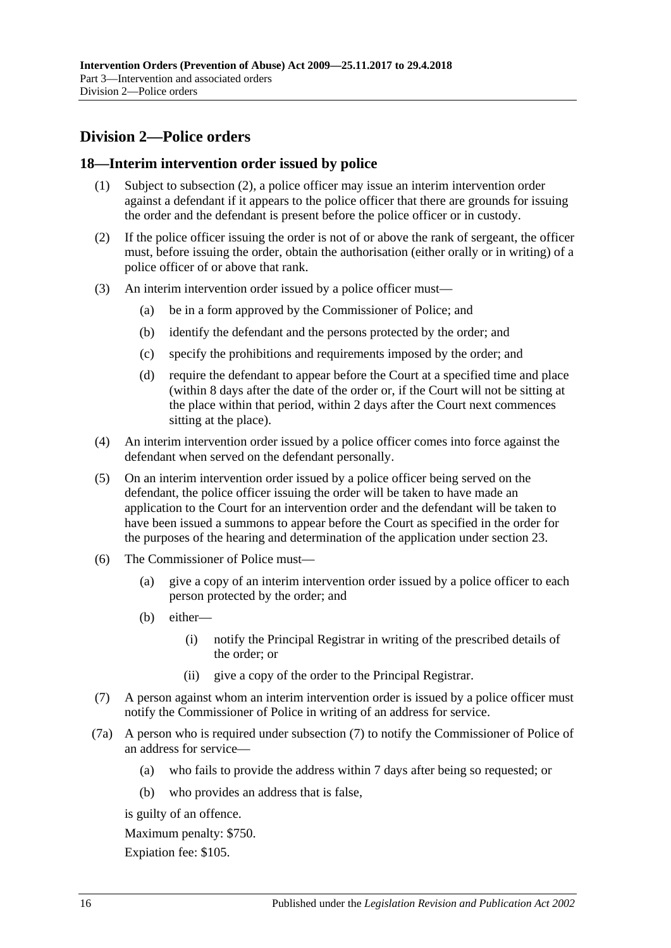## <span id="page-15-0"></span>**Division 2—Police orders**

## <span id="page-15-1"></span>**18—Interim intervention order issued by police**

- (1) Subject to [subsection](#page-15-2) (2), a police officer may issue an interim intervention order against a defendant if it appears to the police officer that there are grounds for issuing the order and the defendant is present before the police officer or in custody.
- <span id="page-15-2"></span>(2) If the police officer issuing the order is not of or above the rank of sergeant, the officer must, before issuing the order, obtain the authorisation (either orally or in writing) of a police officer of or above that rank.
- (3) An interim intervention order issued by a police officer must—
	- (a) be in a form approved by the Commissioner of Police; and
	- (b) identify the defendant and the persons protected by the order; and
	- (c) specify the prohibitions and requirements imposed by the order; and
	- (d) require the defendant to appear before the Court at a specified time and place (within 8 days after the date of the order or, if the Court will not be sitting at the place within that period, within 2 days after the Court next commences sitting at the place).
- (4) An interim intervention order issued by a police officer comes into force against the defendant when served on the defendant personally.
- (5) On an interim intervention order issued by a police officer being served on the defendant, the police officer issuing the order will be taken to have made an application to the Court for an intervention order and the defendant will be taken to have been issued a summons to appear before the Court as specified in the order for the purposes of the hearing and determination of the application under [section](#page-19-1) 23.
- (6) The Commissioner of Police must—
	- (a) give a copy of an interim intervention order issued by a police officer to each person protected by the order; and
	- (b) either—
		- (i) notify the Principal Registrar in writing of the prescribed details of the order; or
		- (ii) give a copy of the order to the Principal Registrar.
- <span id="page-15-3"></span>(7) A person against whom an interim intervention order is issued by a police officer must notify the Commissioner of Police in writing of an address for service.
- (7a) A person who is required under [subsection](#page-15-3) (7) to notify the Commissioner of Police of an address for service—
	- (a) who fails to provide the address within 7 days after being so requested; or
	- (b) who provides an address that is false,

is guilty of an offence.

Maximum penalty: \$750.

Expiation fee: \$105.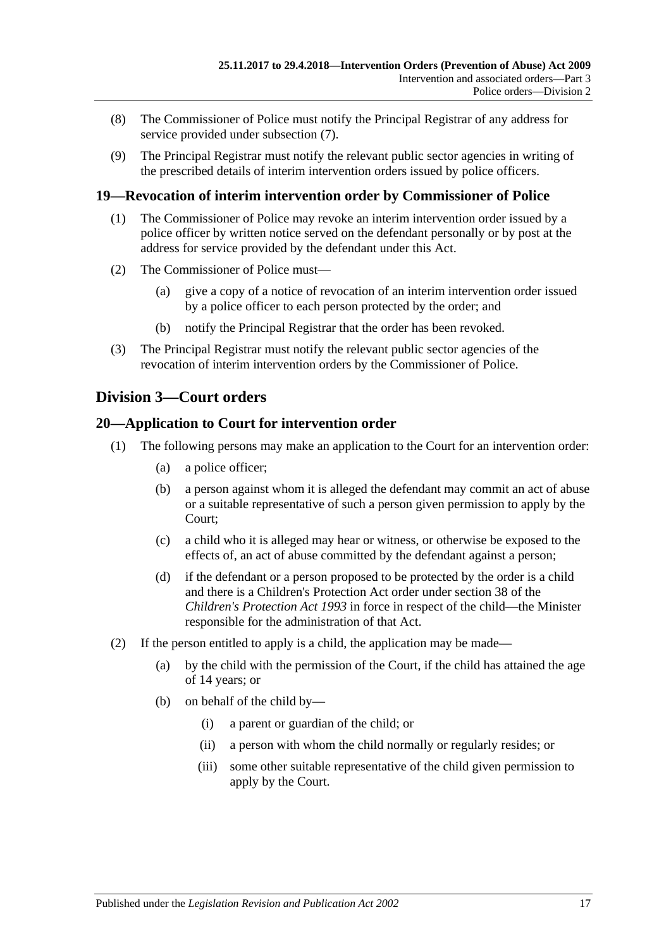- (8) The Commissioner of Police must notify the Principal Registrar of any address for service provided under [subsection](#page-15-3) (7).
- (9) The Principal Registrar must notify the relevant public sector agencies in writing of the prescribed details of interim intervention orders issued by police officers.

## <span id="page-16-0"></span>**19—Revocation of interim intervention order by Commissioner of Police**

- (1) The Commissioner of Police may revoke an interim intervention order issued by a police officer by written notice served on the defendant personally or by post at the address for service provided by the defendant under this Act.
- (2) The Commissioner of Police must—
	- (a) give a copy of a notice of revocation of an interim intervention order issued by a police officer to each person protected by the order; and
	- (b) notify the Principal Registrar that the order has been revoked.
- (3) The Principal Registrar must notify the relevant public sector agencies of the revocation of interim intervention orders by the Commissioner of Police.

## <span id="page-16-1"></span>**Division 3—Court orders**

## <span id="page-16-2"></span>**20—Application to Court for intervention order**

- (1) The following persons may make an application to the Court for an intervention order:
	- (a) a police officer;
	- (b) a person against whom it is alleged the defendant may commit an act of abuse or a suitable representative of such a person given permission to apply by the Court;
	- (c) a child who it is alleged may hear or witness, or otherwise be exposed to the effects of, an act of abuse committed by the defendant against a person;
	- (d) if the defendant or a person proposed to be protected by the order is a child and there is a Children's Protection Act order under section 38 of the *[Children's Protection Act](http://www.legislation.sa.gov.au/index.aspx?action=legref&type=act&legtitle=Childrens%20Protection%20Act%201993) 1993* in force in respect of the child—the Minister responsible for the administration of that Act.
- (2) If the person entitled to apply is a child, the application may be made—
	- (a) by the child with the permission of the Court, if the child has attained the age of 14 years; or
	- (b) on behalf of the child by—
		- (i) a parent or guardian of the child; or
		- (ii) a person with whom the child normally or regularly resides; or
		- (iii) some other suitable representative of the child given permission to apply by the Court.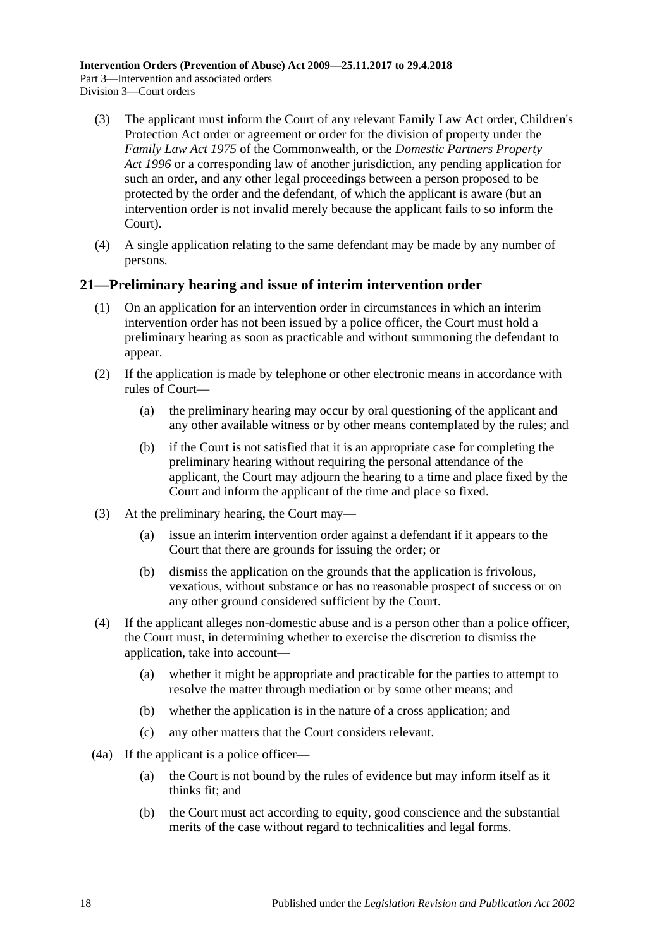- (3) The applicant must inform the Court of any relevant Family Law Act order, Children's Protection Act order or agreement or order for the division of property under the *Family Law Act 1975* of the Commonwealth, or the *[Domestic Partners Property](http://www.legislation.sa.gov.au/index.aspx?action=legref&type=act&legtitle=Domestic%20Partners%20Property%20Act%201996)  Act [1996](http://www.legislation.sa.gov.au/index.aspx?action=legref&type=act&legtitle=Domestic%20Partners%20Property%20Act%201996)* or a corresponding law of another jurisdiction, any pending application for such an order, and any other legal proceedings between a person proposed to be protected by the order and the defendant, of which the applicant is aware (but an intervention order is not invalid merely because the applicant fails to so inform the Court).
- (4) A single application relating to the same defendant may be made by any number of persons.

## <span id="page-17-0"></span>**21—Preliminary hearing and issue of interim intervention order**

- (1) On an application for an intervention order in circumstances in which an interim intervention order has not been issued by a police officer, the Court must hold a preliminary hearing as soon as practicable and without summoning the defendant to appear.
- (2) If the application is made by telephone or other electronic means in accordance with rules of Court—
	- (a) the preliminary hearing may occur by oral questioning of the applicant and any other available witness or by other means contemplated by the rules; and
	- (b) if the Court is not satisfied that it is an appropriate case for completing the preliminary hearing without requiring the personal attendance of the applicant, the Court may adjourn the hearing to a time and place fixed by the Court and inform the applicant of the time and place so fixed.
- (3) At the preliminary hearing, the Court may—
	- (a) issue an interim intervention order against a defendant if it appears to the Court that there are grounds for issuing the order; or
	- (b) dismiss the application on the grounds that the application is frivolous, vexatious, without substance or has no reasonable prospect of success or on any other ground considered sufficient by the Court.
- (4) If the applicant alleges non-domestic abuse and is a person other than a police officer, the Court must, in determining whether to exercise the discretion to dismiss the application, take into account—
	- (a) whether it might be appropriate and practicable for the parties to attempt to resolve the matter through mediation or by some other means; and
	- (b) whether the application is in the nature of a cross application; and
	- (c) any other matters that the Court considers relevant.
- (4a) If the applicant is a police officer—
	- (a) the Court is not bound by the rules of evidence but may inform itself as it thinks fit; and
	- (b) the Court must act according to equity, good conscience and the substantial merits of the case without regard to technicalities and legal forms.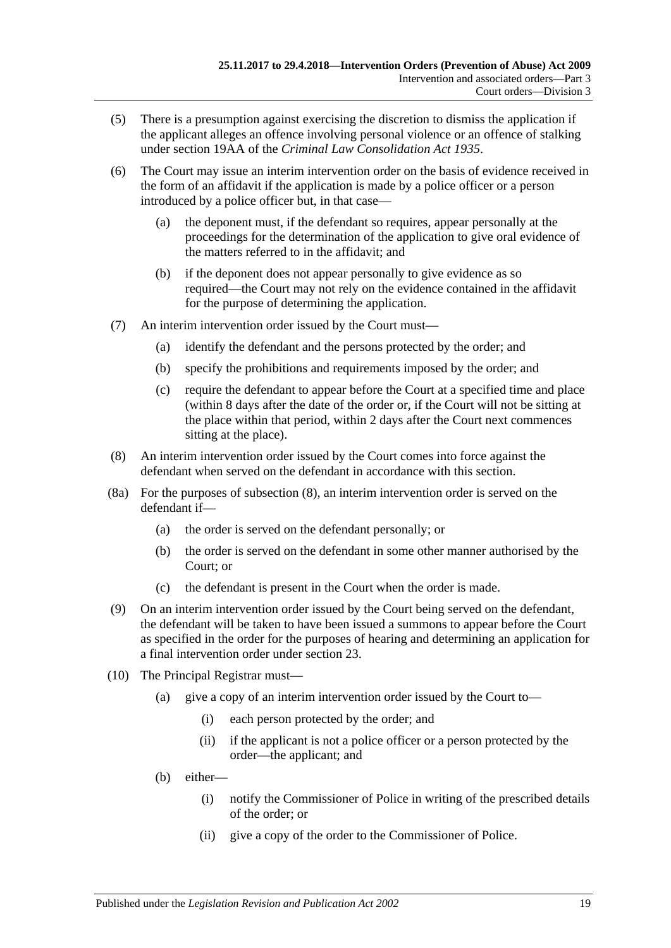- (5) There is a presumption against exercising the discretion to dismiss the application if the applicant alleges an offence involving personal violence or an offence of stalking under section 19AA of the *[Criminal Law Consolidation Act](http://www.legislation.sa.gov.au/index.aspx?action=legref&type=act&legtitle=Criminal%20Law%20Consolidation%20Act%201935) 1935*.
- (6) The Court may issue an interim intervention order on the basis of evidence received in the form of an affidavit if the application is made by a police officer or a person introduced by a police officer but, in that case—
	- (a) the deponent must, if the defendant so requires, appear personally at the proceedings for the determination of the application to give oral evidence of the matters referred to in the affidavit; and
	- (b) if the deponent does not appear personally to give evidence as so required—the Court may not rely on the evidence contained in the affidavit for the purpose of determining the application.
- (7) An interim intervention order issued by the Court must—
	- (a) identify the defendant and the persons protected by the order; and
	- (b) specify the prohibitions and requirements imposed by the order; and
	- (c) require the defendant to appear before the Court at a specified time and place (within 8 days after the date of the order or, if the Court will not be sitting at the place within that period, within 2 days after the Court next commences sitting at the place).
- <span id="page-18-0"></span>(8) An interim intervention order issued by the Court comes into force against the defendant when served on the defendant in accordance with this section.
- (8a) For the purposes of [subsection](#page-18-0) (8), an interim intervention order is served on the defendant if—
	- (a) the order is served on the defendant personally; or
	- (b) the order is served on the defendant in some other manner authorised by the Court; or
	- (c) the defendant is present in the Court when the order is made.
- (9) On an interim intervention order issued by the Court being served on the defendant, the defendant will be taken to have been issued a summons to appear before the Court as specified in the order for the purposes of hearing and determining an application for a final intervention order under [section](#page-19-1) 23.
- (10) The Principal Registrar must—
	- (a) give a copy of an interim intervention order issued by the Court to—
		- (i) each person protected by the order; and
		- (ii) if the applicant is not a police officer or a person protected by the order—the applicant; and
	- (b) either—
		- (i) notify the Commissioner of Police in writing of the prescribed details of the order; or
		- (ii) give a copy of the order to the Commissioner of Police.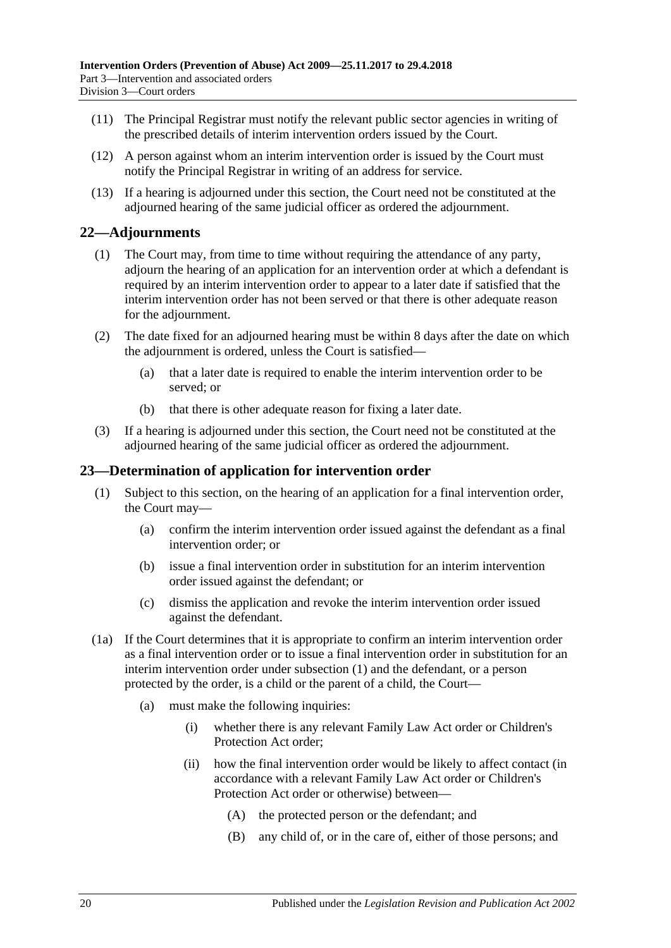- (11) The Principal Registrar must notify the relevant public sector agencies in writing of the prescribed details of interim intervention orders issued by the Court.
- (12) A person against whom an interim intervention order is issued by the Court must notify the Principal Registrar in writing of an address for service.
- (13) If a hearing is adjourned under this section, the Court need not be constituted at the adjourned hearing of the same judicial officer as ordered the adjournment.

## <span id="page-19-0"></span>**22—Adjournments**

- (1) The Court may, from time to time without requiring the attendance of any party, adjourn the hearing of an application for an intervention order at which a defendant is required by an interim intervention order to appear to a later date if satisfied that the interim intervention order has not been served or that there is other adequate reason for the adjournment.
- (2) The date fixed for an adjourned hearing must be within 8 days after the date on which the adjournment is ordered, unless the Court is satisfied—
	- (a) that a later date is required to enable the interim intervention order to be served; or
	- (b) that there is other adequate reason for fixing a later date.
- (3) If a hearing is adjourned under this section, the Court need not be constituted at the adjourned hearing of the same judicial officer as ordered the adjournment.

### <span id="page-19-2"></span><span id="page-19-1"></span>**23—Determination of application for intervention order**

- (1) Subject to this section, on the hearing of an application for a final intervention order, the Court may—
	- (a) confirm the interim intervention order issued against the defendant as a final intervention order; or
	- (b) issue a final intervention order in substitution for an interim intervention order issued against the defendant; or
	- (c) dismiss the application and revoke the interim intervention order issued against the defendant.
- (1a) If the Court determines that it is appropriate to confirm an interim intervention order as a final intervention order or to issue a final intervention order in substitution for an interim intervention order under [subsection](#page-19-2) (1) and the defendant, or a person protected by the order, is a child or the parent of a child, the Court—
	- (a) must make the following inquiries:
		- (i) whether there is any relevant Family Law Act order or Children's Protection Act order;
		- (ii) how the final intervention order would be likely to affect contact (in accordance with a relevant Family Law Act order or Children's Protection Act order or otherwise) between—
			- (A) the protected person or the defendant; and
			- (B) any child of, or in the care of, either of those persons; and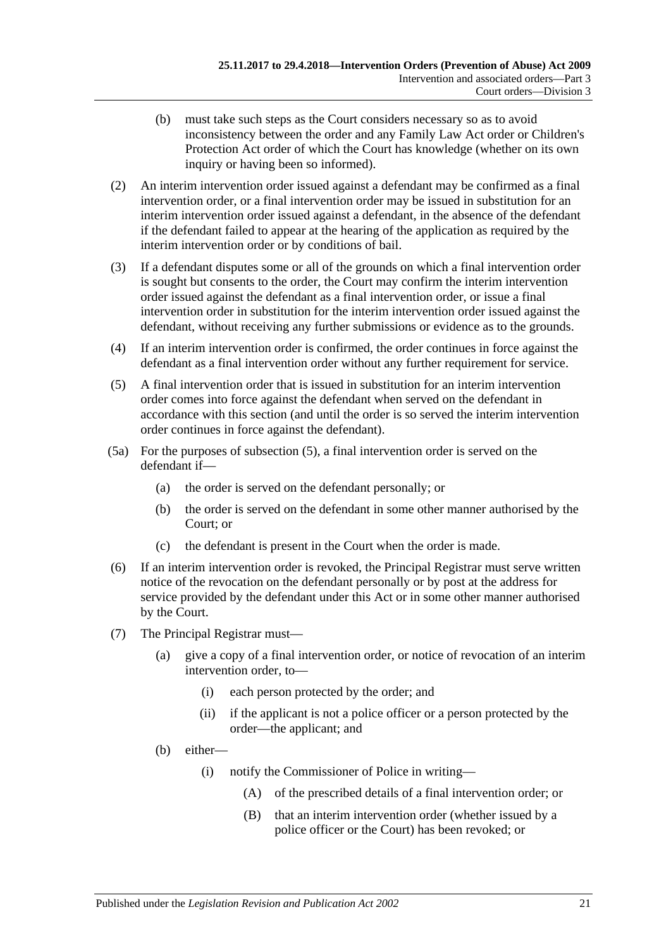- (b) must take such steps as the Court considers necessary so as to avoid inconsistency between the order and any Family Law Act order or Children's Protection Act order of which the Court has knowledge (whether on its own inquiry or having been so informed).
- (2) An interim intervention order issued against a defendant may be confirmed as a final intervention order, or a final intervention order may be issued in substitution for an interim intervention order issued against a defendant, in the absence of the defendant if the defendant failed to appear at the hearing of the application as required by the interim intervention order or by conditions of bail.
- (3) If a defendant disputes some or all of the grounds on which a final intervention order is sought but consents to the order, the Court may confirm the interim intervention order issued against the defendant as a final intervention order, or issue a final intervention order in substitution for the interim intervention order issued against the defendant, without receiving any further submissions or evidence as to the grounds.
- (4) If an interim intervention order is confirmed, the order continues in force against the defendant as a final intervention order without any further requirement for service.
- <span id="page-20-0"></span>(5) A final intervention order that is issued in substitution for an interim intervention order comes into force against the defendant when served on the defendant in accordance with this section (and until the order is so served the interim intervention order continues in force against the defendant).
- (5a) For the purposes of [subsection](#page-20-0) (5), a final intervention order is served on the defendant if—
	- (a) the order is served on the defendant personally; or
	- (b) the order is served on the defendant in some other manner authorised by the Court; or
	- (c) the defendant is present in the Court when the order is made.
- (6) If an interim intervention order is revoked, the Principal Registrar must serve written notice of the revocation on the defendant personally or by post at the address for service provided by the defendant under this Act or in some other manner authorised by the Court.
- (7) The Principal Registrar must—
	- (a) give a copy of a final intervention order, or notice of revocation of an interim intervention order, to—
		- (i) each person protected by the order; and
		- (ii) if the applicant is not a police officer or a person protected by the order—the applicant; and
	- (b) either—
		- (i) notify the Commissioner of Police in writing—
			- (A) of the prescribed details of a final intervention order; or
			- (B) that an interim intervention order (whether issued by a police officer or the Court) has been revoked; or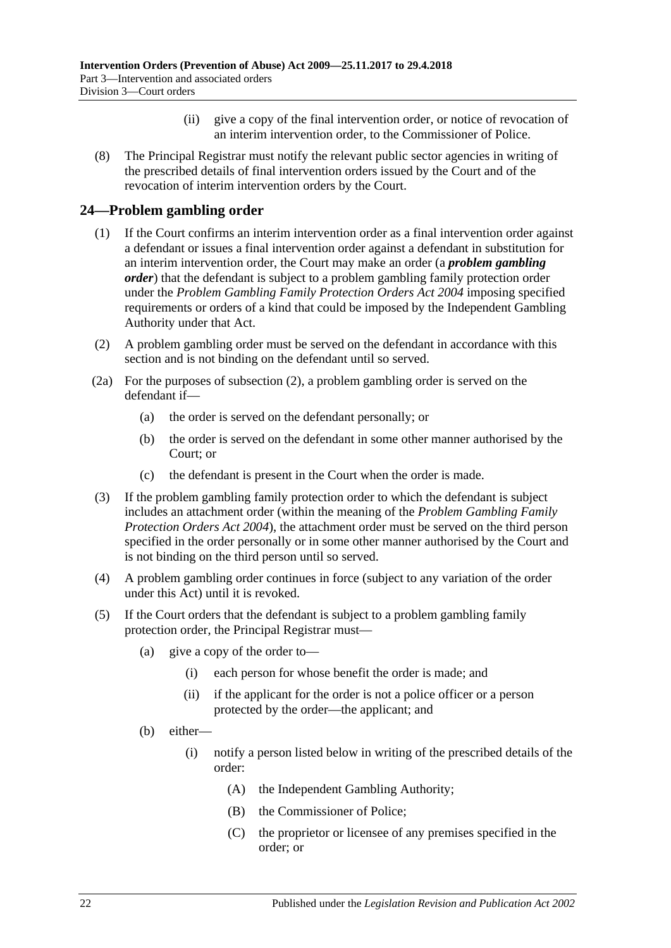- (ii) give a copy of the final intervention order, or notice of revocation of an interim intervention order, to the Commissioner of Police.
- (8) The Principal Registrar must notify the relevant public sector agencies in writing of the prescribed details of final intervention orders issued by the Court and of the revocation of interim intervention orders by the Court.

## <span id="page-21-0"></span>**24—Problem gambling order**

- (1) If the Court confirms an interim intervention order as a final intervention order against a defendant or issues a final intervention order against a defendant in substitution for an interim intervention order, the Court may make an order (a *problem gambling order*) that the defendant is subject to a problem gambling family protection order under the *[Problem Gambling Family Protection Orders Act](http://www.legislation.sa.gov.au/index.aspx?action=legref&type=act&legtitle=Problem%20Gambling%20Family%20Protection%20Orders%20Act%202004) 2004* imposing specified requirements or orders of a kind that could be imposed by the Independent Gambling Authority under that Act.
- <span id="page-21-1"></span>(2) A problem gambling order must be served on the defendant in accordance with this section and is not binding on the defendant until so served.
- (2a) For the purposes of [subsection](#page-21-1) (2), a problem gambling order is served on the defendant if—
	- (a) the order is served on the defendant personally; or
	- (b) the order is served on the defendant in some other manner authorised by the Court; or
	- (c) the defendant is present in the Court when the order is made.
- (3) If the problem gambling family protection order to which the defendant is subject includes an attachment order (within the meaning of the *[Problem Gambling Family](http://www.legislation.sa.gov.au/index.aspx?action=legref&type=act&legtitle=Problem%20Gambling%20Family%20Protection%20Orders%20Act%202004)  [Protection Orders Act](http://www.legislation.sa.gov.au/index.aspx?action=legref&type=act&legtitle=Problem%20Gambling%20Family%20Protection%20Orders%20Act%202004) 2004*), the attachment order must be served on the third person specified in the order personally or in some other manner authorised by the Court and is not binding on the third person until so served.
- (4) A problem gambling order continues in force (subject to any variation of the order under this Act) until it is revoked.
- <span id="page-21-2"></span>(5) If the Court orders that the defendant is subject to a problem gambling family protection order, the Principal Registrar must—
	- (a) give a copy of the order to—
		- (i) each person for whose benefit the order is made; and
		- (ii) if the applicant for the order is not a police officer or a person protected by the order—the applicant; and
	- (b) either—
		- (i) notify a person listed below in writing of the prescribed details of the order:
			- (A) the Independent Gambling Authority;
			- (B) the Commissioner of Police;
			- (C) the proprietor or licensee of any premises specified in the order; or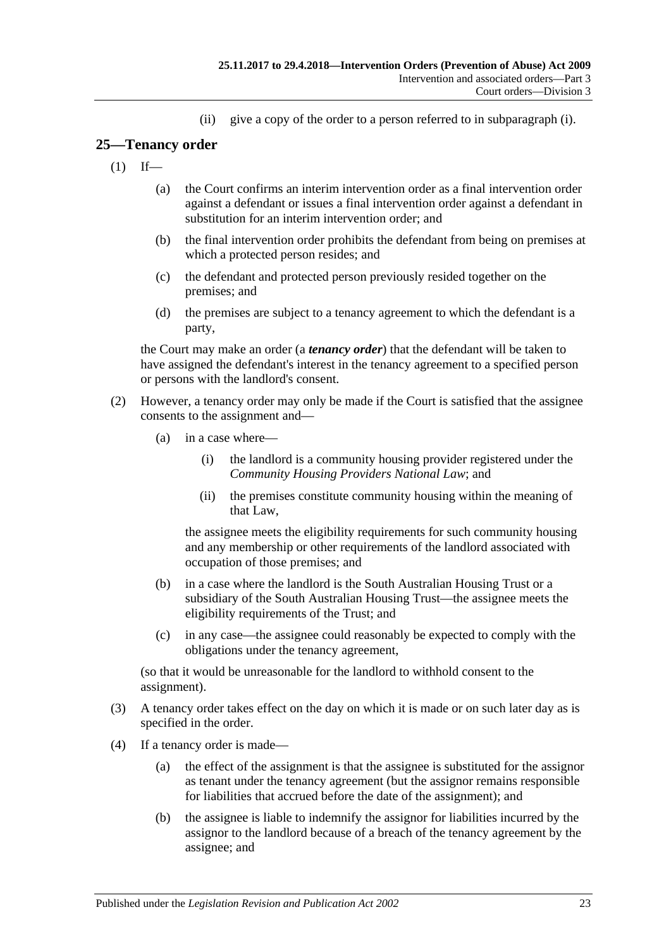(ii) give a copy of the order to a person referred to in [subparagraph](#page-21-2) (i).

## <span id="page-22-0"></span>**25—Tenancy order**

- $(1)$  If—
	- (a) the Court confirms an interim intervention order as a final intervention order against a defendant or issues a final intervention order against a defendant in substitution for an interim intervention order; and
	- (b) the final intervention order prohibits the defendant from being on premises at which a protected person resides; and
	- (c) the defendant and protected person previously resided together on the premises; and
	- (d) the premises are subject to a tenancy agreement to which the defendant is a party,

the Court may make an order (a *tenancy order*) that the defendant will be taken to have assigned the defendant's interest in the tenancy agreement to a specified person or persons with the landlord's consent.

- (2) However, a tenancy order may only be made if the Court is satisfied that the assignee consents to the assignment and—
	- (a) in a case where—
		- (i) the landlord is a community housing provider registered under the *Community Housing Providers National Law*; and
		- (ii) the premises constitute community housing within the meaning of that Law,

the assignee meets the eligibility requirements for such community housing and any membership or other requirements of the landlord associated with occupation of those premises; and

- (b) in a case where the landlord is the South Australian Housing Trust or a subsidiary of the South Australian Housing Trust—the assignee meets the eligibility requirements of the Trust; and
- (c) in any case—the assignee could reasonably be expected to comply with the obligations under the tenancy agreement,

(so that it would be unreasonable for the landlord to withhold consent to the assignment).

- (3) A tenancy order takes effect on the day on which it is made or on such later day as is specified in the order.
- (4) If a tenancy order is made—
	- (a) the effect of the assignment is that the assignee is substituted for the assignor as tenant under the tenancy agreement (but the assignor remains responsible for liabilities that accrued before the date of the assignment); and
	- (b) the assignee is liable to indemnify the assignor for liabilities incurred by the assignor to the landlord because of a breach of the tenancy agreement by the assignee; and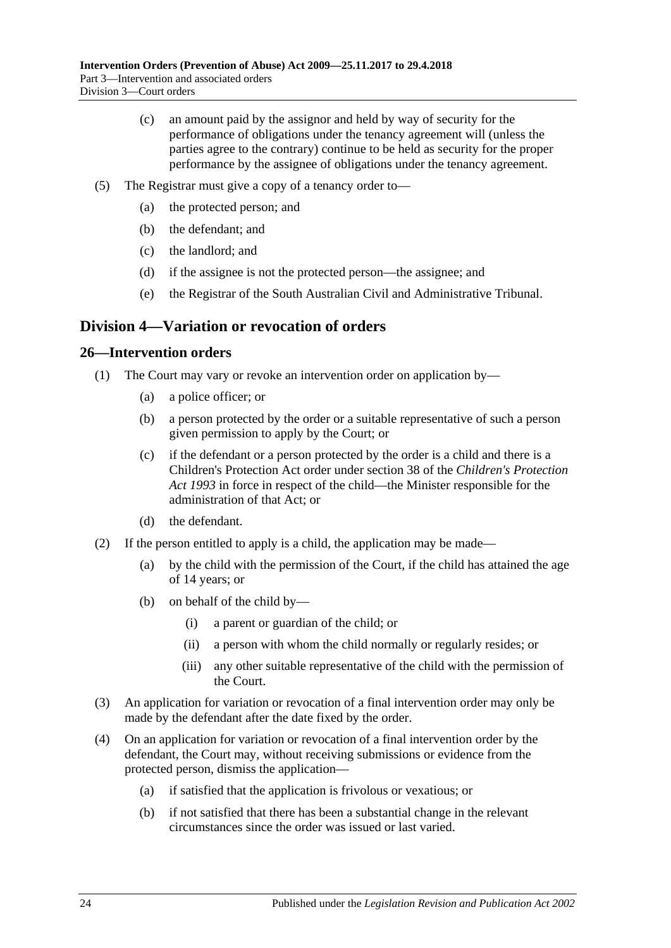- (c) an amount paid by the assignor and held by way of security for the performance of obligations under the tenancy agreement will (unless the parties agree to the contrary) continue to be held as security for the proper performance by the assignee of obligations under the tenancy agreement.
- (5) The Registrar must give a copy of a tenancy order to—
	- (a) the protected person; and
	- (b) the defendant; and
	- (c) the landlord; and
	- (d) if the assignee is not the protected person—the assignee; and
	- (e) the Registrar of the South Australian Civil and Administrative Tribunal.

## <span id="page-23-0"></span>**Division 4—Variation or revocation of orders**

### <span id="page-23-1"></span>**26—Intervention orders**

- (1) The Court may vary or revoke an intervention order on application by—
	- (a) a police officer; or
	- (b) a person protected by the order or a suitable representative of such a person given permission to apply by the Court; or
	- (c) if the defendant or a person protected by the order is a child and there is a Children's Protection Act order under section 38 of the *[Children's Protection](http://www.legislation.sa.gov.au/index.aspx?action=legref&type=act&legtitle=Childrens%20Protection%20Act%201993)  Act [1993](http://www.legislation.sa.gov.au/index.aspx?action=legref&type=act&legtitle=Childrens%20Protection%20Act%201993)* in force in respect of the child—the Minister responsible for the administration of that Act; or
	- (d) the defendant.
- (2) If the person entitled to apply is a child, the application may be made—
	- (a) by the child with the permission of the Court, if the child has attained the age of 14 years; or
	- (b) on behalf of the child by—
		- (i) a parent or guardian of the child; or
		- (ii) a person with whom the child normally or regularly resides; or
		- (iii) any other suitable representative of the child with the permission of the Court.
- (3) An application for variation or revocation of a final intervention order may only be made by the defendant after the date fixed by the order.
- (4) On an application for variation or revocation of a final intervention order by the defendant, the Court may, without receiving submissions or evidence from the protected person, dismiss the application—
	- (a) if satisfied that the application is frivolous or vexatious; or
	- (b) if not satisfied that there has been a substantial change in the relevant circumstances since the order was issued or last varied.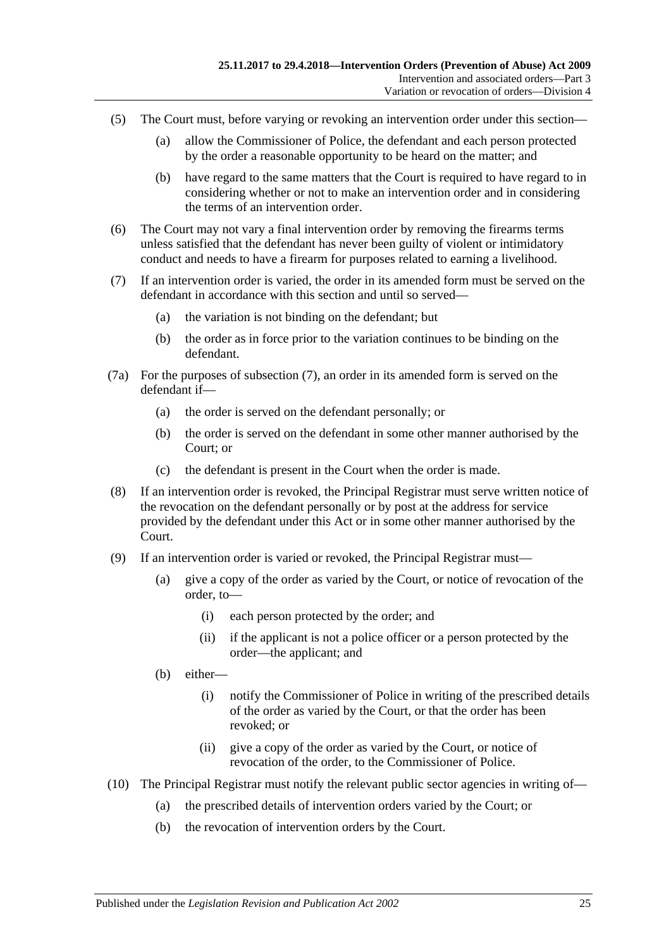- (5) The Court must, before varying or revoking an intervention order under this section—
	- (a) allow the Commissioner of Police, the defendant and each person protected by the order a reasonable opportunity to be heard on the matter; and
	- (b) have regard to the same matters that the Court is required to have regard to in considering whether or not to make an intervention order and in considering the terms of an intervention order.
- (6) The Court may not vary a final intervention order by removing the firearms terms unless satisfied that the defendant has never been guilty of violent or intimidatory conduct and needs to have a firearm for purposes related to earning a livelihood.
- <span id="page-24-0"></span>(7) If an intervention order is varied, the order in its amended form must be served on the defendant in accordance with this section and until so served—
	- (a) the variation is not binding on the defendant; but
	- (b) the order as in force prior to the variation continues to be binding on the defendant.
- (7a) For the purposes of [subsection](#page-24-0) (7), an order in its amended form is served on the defendant if—
	- (a) the order is served on the defendant personally; or
	- (b) the order is served on the defendant in some other manner authorised by the Court; or
	- (c) the defendant is present in the Court when the order is made.
- (8) If an intervention order is revoked, the Principal Registrar must serve written notice of the revocation on the defendant personally or by post at the address for service provided by the defendant under this Act or in some other manner authorised by the Court.
- (9) If an intervention order is varied or revoked, the Principal Registrar must—
	- (a) give a copy of the order as varied by the Court, or notice of revocation of the order, to—
		- (i) each person protected by the order; and
		- (ii) if the applicant is not a police officer or a person protected by the order—the applicant; and
	- (b) either—
		- (i) notify the Commissioner of Police in writing of the prescribed details of the order as varied by the Court, or that the order has been revoked; or
		- (ii) give a copy of the order as varied by the Court, or notice of revocation of the order, to the Commissioner of Police.
- (10) The Principal Registrar must notify the relevant public sector agencies in writing of—
	- (a) the prescribed details of intervention orders varied by the Court; or
	- (b) the revocation of intervention orders by the Court.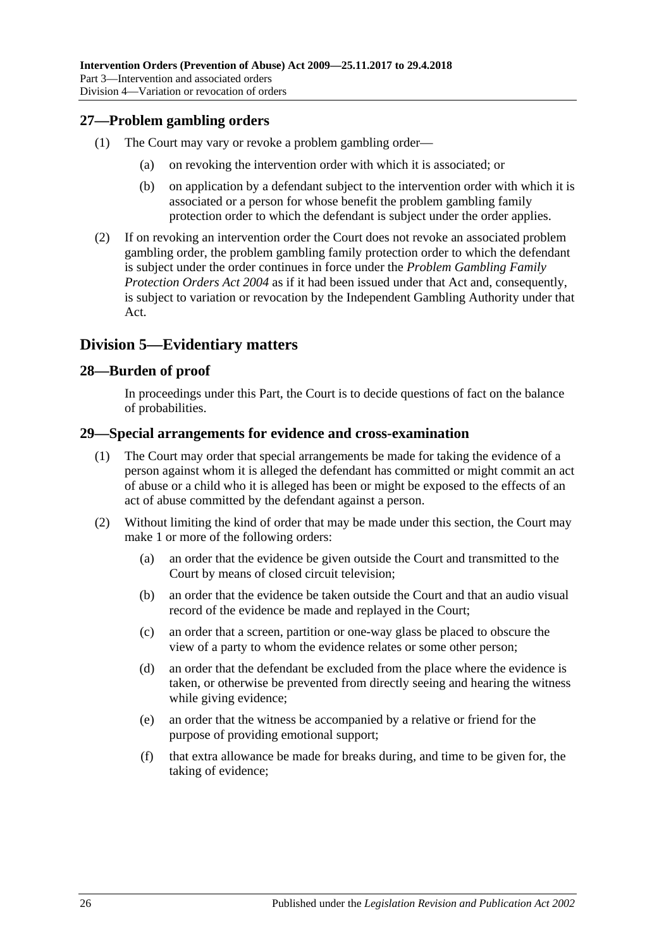## <span id="page-25-0"></span>**27—Problem gambling orders**

- (1) The Court may vary or revoke a problem gambling order—
	- (a) on revoking the intervention order with which it is associated; or
	- (b) on application by a defendant subject to the intervention order with which it is associated or a person for whose benefit the problem gambling family protection order to which the defendant is subject under the order applies.
- (2) If on revoking an intervention order the Court does not revoke an associated problem gambling order, the problem gambling family protection order to which the defendant is subject under the order continues in force under the *[Problem Gambling Family](http://www.legislation.sa.gov.au/index.aspx?action=legref&type=act&legtitle=Problem%20Gambling%20Family%20Protection%20Orders%20Act%202004)  [Protection Orders Act](http://www.legislation.sa.gov.au/index.aspx?action=legref&type=act&legtitle=Problem%20Gambling%20Family%20Protection%20Orders%20Act%202004) 2004* as if it had been issued under that Act and, consequently, is subject to variation or revocation by the Independent Gambling Authority under that Act.

## <span id="page-25-1"></span>**Division 5—Evidentiary matters**

### <span id="page-25-2"></span>**28—Burden of proof**

In proceedings under this Part, the Court is to decide questions of fact on the balance of probabilities.

#### <span id="page-25-3"></span>**29—Special arrangements for evidence and cross-examination**

- (1) The Court may order that special arrangements be made for taking the evidence of a person against whom it is alleged the defendant has committed or might commit an act of abuse or a child who it is alleged has been or might be exposed to the effects of an act of abuse committed by the defendant against a person.
- (2) Without limiting the kind of order that may be made under this section, the Court may make 1 or more of the following orders:
	- (a) an order that the evidence be given outside the Court and transmitted to the Court by means of closed circuit television;
	- (b) an order that the evidence be taken outside the Court and that an audio visual record of the evidence be made and replayed in the Court;
	- (c) an order that a screen, partition or one-way glass be placed to obscure the view of a party to whom the evidence relates or some other person;
	- (d) an order that the defendant be excluded from the place where the evidence is taken, or otherwise be prevented from directly seeing and hearing the witness while giving evidence;
	- (e) an order that the witness be accompanied by a relative or friend for the purpose of providing emotional support;
	- (f) that extra allowance be made for breaks during, and time to be given for, the taking of evidence;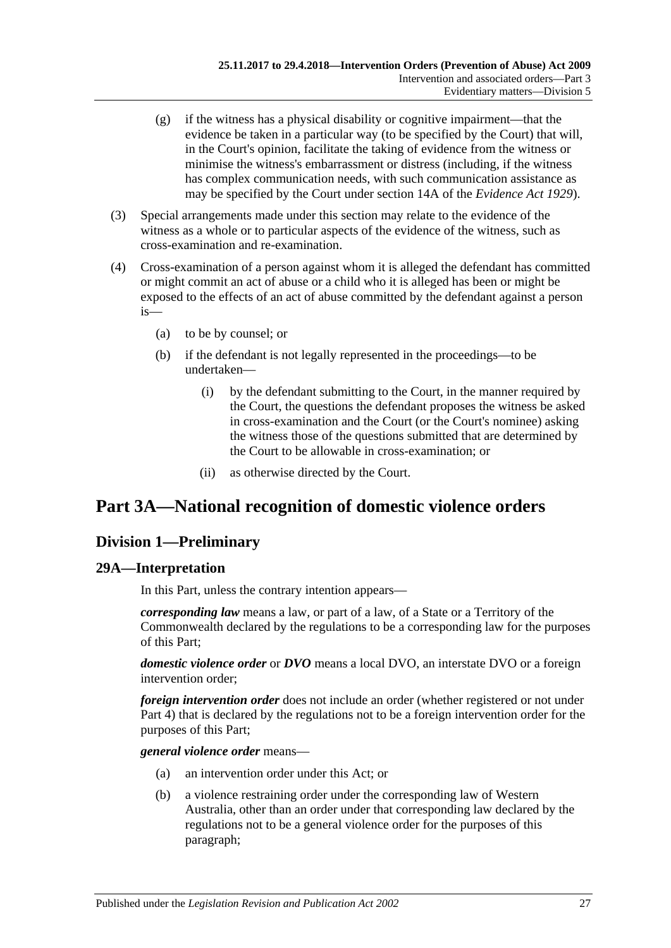- (g) if the witness has a physical disability or cognitive impairment—that the evidence be taken in a particular way (to be specified by the Court) that will, in the Court's opinion, facilitate the taking of evidence from the witness or minimise the witness's embarrassment or distress (including, if the witness has complex communication needs, with such communication assistance as may be specified by the Court under section 14A of the *[Evidence Act](http://www.legislation.sa.gov.au/index.aspx?action=legref&type=act&legtitle=Evidence%20Act%201929) 1929*).
- (3) Special arrangements made under this section may relate to the evidence of the witness as a whole or to particular aspects of the evidence of the witness, such as cross-examination and re-examination.
- (4) Cross-examination of a person against whom it is alleged the defendant has committed or might commit an act of abuse or a child who it is alleged has been or might be exposed to the effects of an act of abuse committed by the defendant against a person is—
	- (a) to be by counsel; or
	- (b) if the defendant is not legally represented in the proceedings—to be undertaken—
		- (i) by the defendant submitting to the Court, in the manner required by the Court, the questions the defendant proposes the witness be asked in cross-examination and the Court (or the Court's nominee) asking the witness those of the questions submitted that are determined by the Court to be allowable in cross-examination; or
		- (ii) as otherwise directed by the Court.

## <span id="page-26-0"></span>**Part 3A—National recognition of domestic violence orders**

## <span id="page-26-1"></span>**Division 1—Preliminary**

## <span id="page-26-2"></span>**29A—Interpretation**

In this Part, unless the contrary intention appears—

*corresponding law* means a law, or part of a law, of a State or a Territory of the Commonwealth declared by the regulations to be a corresponding law for the purposes of this Part;

*domestic violence order* or *DVO* means a local DVO, an interstate DVO or a foreign intervention order;

*foreign intervention order* does not include an order (whether registered or not under [Part 4\)](#page-38-2) that is declared by the regulations not to be a foreign intervention order for the purposes of this Part;

*general violence order* means—

- (a) an intervention order under this Act; or
- (b) a violence restraining order under the corresponding law of Western Australia, other than an order under that corresponding law declared by the regulations not to be a general violence order for the purposes of this paragraph;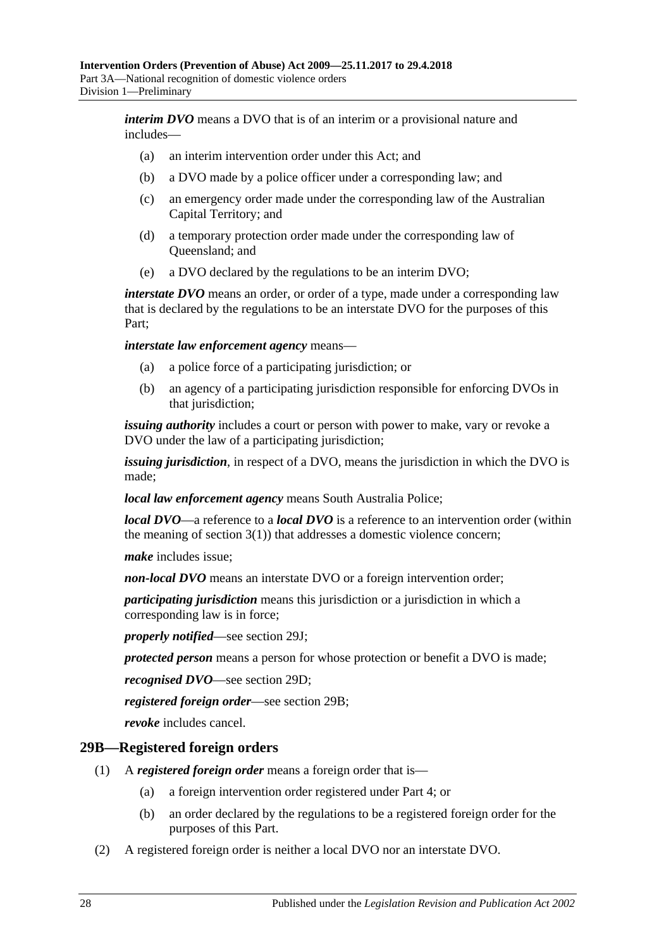*interim DVO* means a DVO that is of an interim or a provisional nature and includes—

- (a) an interim intervention order under this Act; and
- (b) a DVO made by a police officer under a corresponding law; and
- (c) an emergency order made under the corresponding law of the Australian Capital Territory; and
- (d) a temporary protection order made under the corresponding law of Queensland; and
- (e) a DVO declared by the regulations to be an interim DVO;

*interstate DVO* means an order, or order of a type, made under a corresponding law that is declared by the regulations to be an interstate DVO for the purposes of this Part;

*interstate law enforcement agency* means—

- (a) a police force of a participating jurisdiction; or
- (b) an agency of a participating jurisdiction responsible for enforcing DVOs in that jurisdiction;

*issuing authority* includes a court or person with power to make, vary or revoke a DVO under the law of a participating jurisdiction;

*issuing jurisdiction*, in respect of a DVO, means the jurisdiction in which the DVO is made;

*local law enforcement agency* means South Australia Police;

*local DVO*—a reference to a *local DVO* is a reference to an intervention order (within the meaning of [section](#page-3-3)  $3(1)$ ) that addresses a domestic violence concern;

*make* includes issue;

*non-local DVO* means an interstate DVO or a foreign intervention order;

*participating jurisdiction* means this jurisdiction or a jurisdiction in which a corresponding law is in force;

*properly notified*—see [section](#page-31-0) 29J;

*protected person* means a person for whose protection or benefit a DVO is made;

*recognised DVO*—see [section](#page-28-3) 29D;

*registered foreign order*—see [section](#page-27-0) 29B;

*revoke* includes cancel.

#### <span id="page-27-0"></span>**29B—Registered foreign orders**

- (1) A *registered foreign order* means a foreign order that is—
	- (a) a foreign intervention order registered under [Part 4;](#page-38-2) or
	- (b) an order declared by the regulations to be a registered foreign order for the purposes of this Part.
- (2) A registered foreign order is neither a local DVO nor an interstate DVO.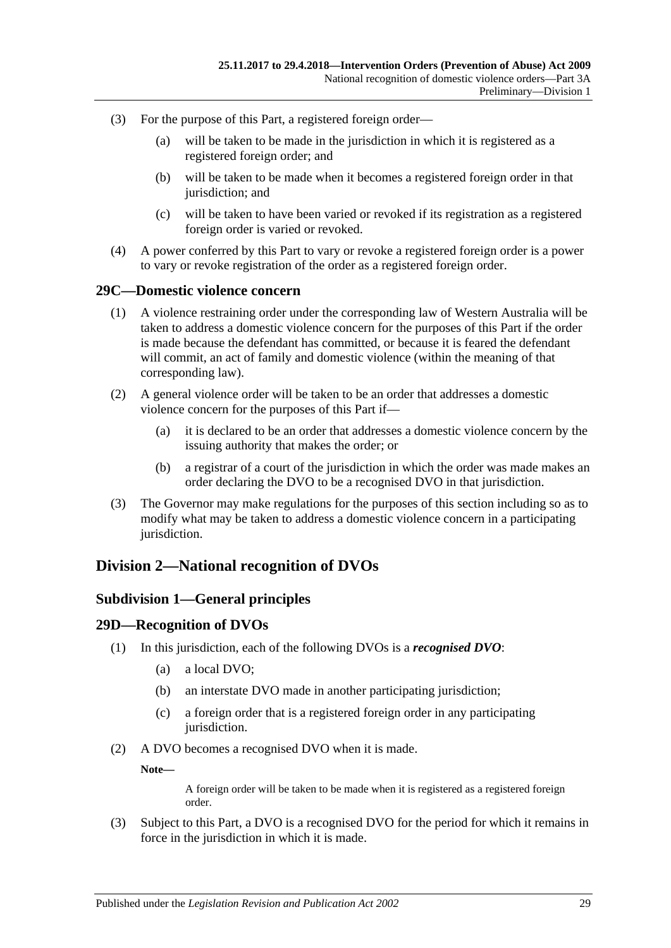- (3) For the purpose of this Part, a registered foreign order—
	- (a) will be taken to be made in the jurisdiction in which it is registered as a registered foreign order; and
	- (b) will be taken to be made when it becomes a registered foreign order in that jurisdiction; and
	- (c) will be taken to have been varied or revoked if its registration as a registered foreign order is varied or revoked.
- (4) A power conferred by this Part to vary or revoke a registered foreign order is a power to vary or revoke registration of the order as a registered foreign order.

#### <span id="page-28-0"></span>**29C—Domestic violence concern**

- (1) A violence restraining order under the corresponding law of Western Australia will be taken to address a domestic violence concern for the purposes of this Part if the order is made because the defendant has committed, or because it is feared the defendant will commit, an act of family and domestic violence (within the meaning of that corresponding law).
- (2) A general violence order will be taken to be an order that addresses a domestic violence concern for the purposes of this Part if—
	- (a) it is declared to be an order that addresses a domestic violence concern by the issuing authority that makes the order; or
	- (b) a registrar of a court of the jurisdiction in which the order was made makes an order declaring the DVO to be a recognised DVO in that jurisdiction.
- (3) The Governor may make regulations for the purposes of this section including so as to modify what may be taken to address a domestic violence concern in a participating jurisdiction.

## <span id="page-28-2"></span><span id="page-28-1"></span>**Division 2—National recognition of DVOs**

#### **Subdivision 1—General principles**

#### <span id="page-28-3"></span>**29D—Recognition of DVOs**

- (1) In this jurisdiction, each of the following DVOs is a *recognised DVO*:
	- (a) a local DVO;
	- (b) an interstate DVO made in another participating jurisdiction;
	- (c) a foreign order that is a registered foreign order in any participating jurisdiction.
- (2) A DVO becomes a recognised DVO when it is made.

**Note—**

A foreign order will be taken to be made when it is registered as a registered foreign order.

(3) Subject to this Part, a DVO is a recognised DVO for the period for which it remains in force in the jurisdiction in which it is made.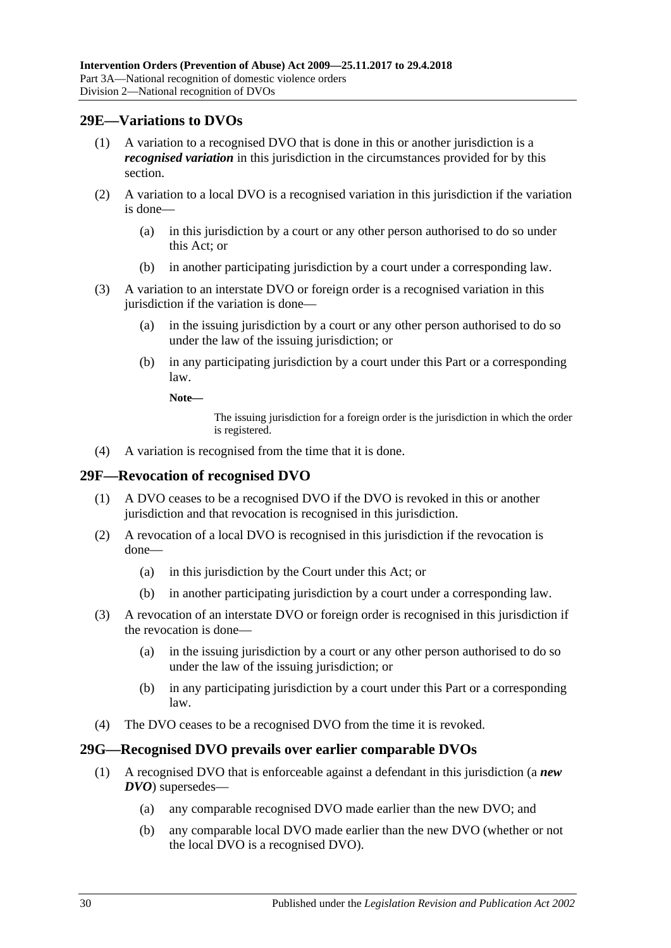## <span id="page-29-0"></span>**29E—Variations to DVOs**

- (1) A variation to a recognised DVO that is done in this or another jurisdiction is a *recognised variation* in this jurisdiction in the circumstances provided for by this section.
- (2) A variation to a local DVO is a recognised variation in this jurisdiction if the variation is done—
	- (a) in this jurisdiction by a court or any other person authorised to do so under this Act; or
	- (b) in another participating jurisdiction by a court under a corresponding law.
- (3) A variation to an interstate DVO or foreign order is a recognised variation in this jurisdiction if the variation is done—
	- (a) in the issuing jurisdiction by a court or any other person authorised to do so under the law of the issuing jurisdiction; or
	- (b) in any participating jurisdiction by a court under this Part or a corresponding law.
		- **Note—**

The issuing jurisdiction for a foreign order is the jurisdiction in which the order is registered.

(4) A variation is recognised from the time that it is done.

## <span id="page-29-1"></span>**29F—Revocation of recognised DVO**

- (1) A DVO ceases to be a recognised DVO if the DVO is revoked in this or another jurisdiction and that revocation is recognised in this jurisdiction.
- (2) A revocation of a local DVO is recognised in this jurisdiction if the revocation is done—
	- (a) in this jurisdiction by the Court under this Act; or
	- (b) in another participating jurisdiction by a court under a corresponding law.
- (3) A revocation of an interstate DVO or foreign order is recognised in this jurisdiction if the revocation is done—
	- (a) in the issuing jurisdiction by a court or any other person authorised to do so under the law of the issuing jurisdiction; or
	- (b) in any participating jurisdiction by a court under this Part or a corresponding law.
- (4) The DVO ceases to be a recognised DVO from the time it is revoked.

## <span id="page-29-2"></span>**29G—Recognised DVO prevails over earlier comparable DVOs**

- (1) A recognised DVO that is enforceable against a defendant in this jurisdiction (a *new DVO*) supersedes—
	- (a) any comparable recognised DVO made earlier than the new DVO; and
	- (b) any comparable local DVO made earlier than the new DVO (whether or not the local DVO is a recognised DVO).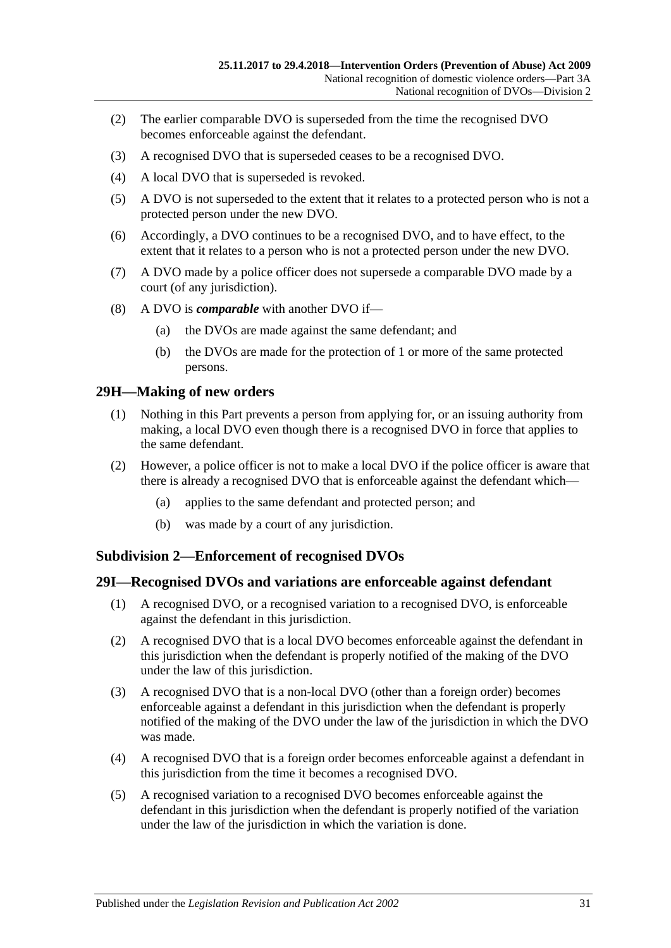- (2) The earlier comparable DVO is superseded from the time the recognised DVO becomes enforceable against the defendant.
- (3) A recognised DVO that is superseded ceases to be a recognised DVO.
- (4) A local DVO that is superseded is revoked.
- (5) A DVO is not superseded to the extent that it relates to a protected person who is not a protected person under the new DVO.
- (6) Accordingly, a DVO continues to be a recognised DVO, and to have effect, to the extent that it relates to a person who is not a protected person under the new DVO.
- (7) A DVO made by a police officer does not supersede a comparable DVO made by a court (of any jurisdiction).
- (8) A DVO is *comparable* with another DVO if—
	- (a) the DVOs are made against the same defendant; and
	- (b) the DVOs are made for the protection of 1 or more of the same protected persons.

#### <span id="page-30-0"></span>**29H—Making of new orders**

- (1) Nothing in this Part prevents a person from applying for, or an issuing authority from making, a local DVO even though there is a recognised DVO in force that applies to the same defendant.
- (2) However, a police officer is not to make a local DVO if the police officer is aware that there is already a recognised DVO that is enforceable against the defendant which—
	- (a) applies to the same defendant and protected person; and
	- (b) was made by a court of any jurisdiction.

#### <span id="page-30-1"></span>**Subdivision 2—Enforcement of recognised DVOs**

#### <span id="page-30-2"></span>**29I—Recognised DVOs and variations are enforceable against defendant**

- (1) A recognised DVO, or a recognised variation to a recognised DVO, is enforceable against the defendant in this jurisdiction.
- (2) A recognised DVO that is a local DVO becomes enforceable against the defendant in this jurisdiction when the defendant is properly notified of the making of the DVO under the law of this jurisdiction.
- (3) A recognised DVO that is a non-local DVO (other than a foreign order) becomes enforceable against a defendant in this jurisdiction when the defendant is properly notified of the making of the DVO under the law of the jurisdiction in which the DVO was made.
- (4) A recognised DVO that is a foreign order becomes enforceable against a defendant in this jurisdiction from the time it becomes a recognised DVO.
- (5) A recognised variation to a recognised DVO becomes enforceable against the defendant in this jurisdiction when the defendant is properly notified of the variation under the law of the jurisdiction in which the variation is done.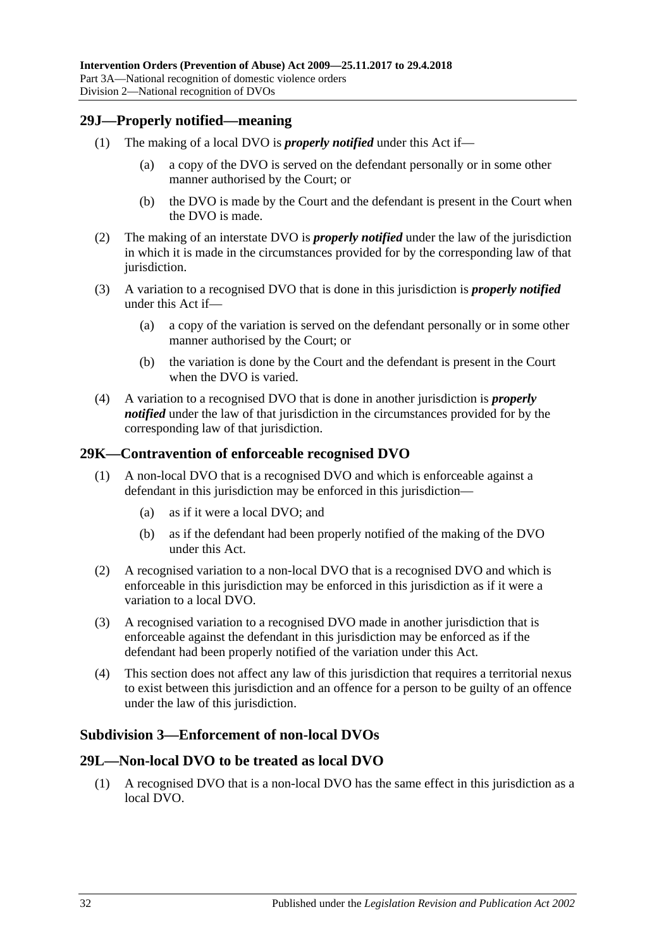### <span id="page-31-0"></span>**29J—Properly notified—meaning**

- (1) The making of a local DVO is *properly notified* under this Act if—
	- (a) a copy of the DVO is served on the defendant personally or in some other manner authorised by the Court; or
	- (b) the DVO is made by the Court and the defendant is present in the Court when the DVO is made.
- (2) The making of an interstate DVO is *properly notified* under the law of the jurisdiction in which it is made in the circumstances provided for by the corresponding law of that jurisdiction.
- (3) A variation to a recognised DVO that is done in this jurisdiction is *properly notified* under this Act if—
	- (a) a copy of the variation is served on the defendant personally or in some other manner authorised by the Court; or
	- (b) the variation is done by the Court and the defendant is present in the Court when the DVO is varied.
- (4) A variation to a recognised DVO that is done in another jurisdiction is *properly notified* under the law of that jurisdiction in the circumstances provided for by the corresponding law of that jurisdiction.

#### <span id="page-31-1"></span>**29K—Contravention of enforceable recognised DVO**

- (1) A non-local DVO that is a recognised DVO and which is enforceable against a defendant in this jurisdiction may be enforced in this jurisdiction—
	- (a) as if it were a local DVO; and
	- (b) as if the defendant had been properly notified of the making of the DVO under this Act.
- (2) A recognised variation to a non-local DVO that is a recognised DVO and which is enforceable in this jurisdiction may be enforced in this jurisdiction as if it were a variation to a local DVO.
- (3) A recognised variation to a recognised DVO made in another jurisdiction that is enforceable against the defendant in this jurisdiction may be enforced as if the defendant had been properly notified of the variation under this Act.
- (4) This section does not affect any law of this jurisdiction that requires a territorial nexus to exist between this jurisdiction and an offence for a person to be guilty of an offence under the law of this jurisdiction.

## <span id="page-31-2"></span>**Subdivision 3—Enforcement of non-local DVOs**

## <span id="page-31-3"></span>**29L—Non-local DVO to be treated as local DVO**

(1) A recognised DVO that is a non-local DVO has the same effect in this jurisdiction as a local DVO.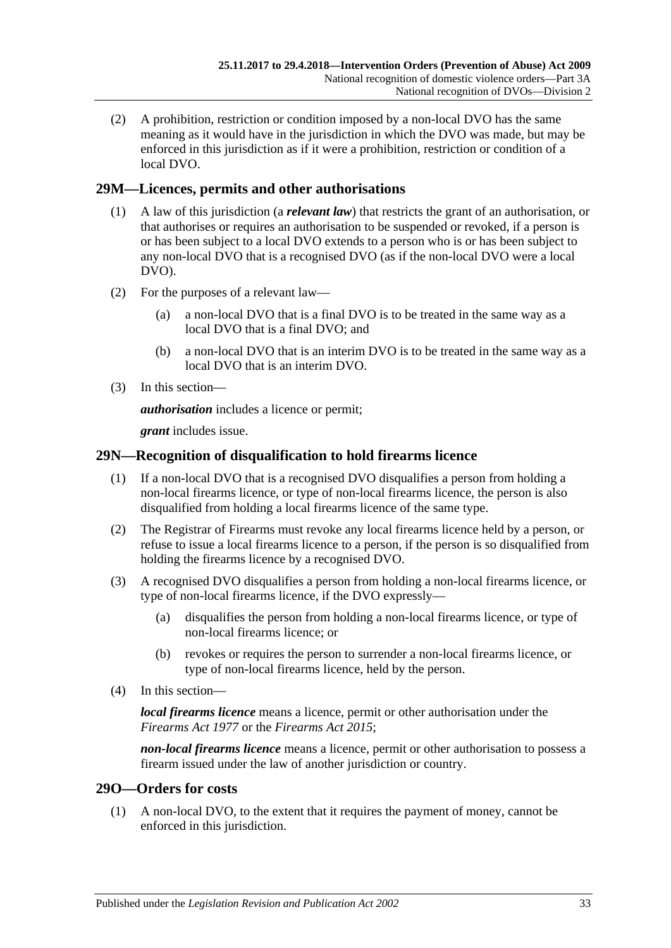(2) A prohibition, restriction or condition imposed by a non-local DVO has the same meaning as it would have in the jurisdiction in which the DVO was made, but may be enforced in this jurisdiction as if it were a prohibition, restriction or condition of a local DVO.

## <span id="page-32-0"></span>**29M—Licences, permits and other authorisations**

- (1) A law of this jurisdiction (a *relevant law*) that restricts the grant of an authorisation, or that authorises or requires an authorisation to be suspended or revoked, if a person is or has been subject to a local DVO extends to a person who is or has been subject to any non-local DVO that is a recognised DVO (as if the non-local DVO were a local DVO).
- (2) For the purposes of a relevant law—
	- (a) a non-local DVO that is a final DVO is to be treated in the same way as a local DVO that is a final DVO; and
	- (b) a non-local DVO that is an interim DVO is to be treated in the same way as a local DVO that is an interim DVO.
- (3) In this section—

*authorisation* includes a licence or permit;

*grant* includes issue.

## <span id="page-32-1"></span>**29N—Recognition of disqualification to hold firearms licence**

- (1) If a non-local DVO that is a recognised DVO disqualifies a person from holding a non-local firearms licence, or type of non-local firearms licence, the person is also disqualified from holding a local firearms licence of the same type.
- (2) The Registrar of Firearms must revoke any local firearms licence held by a person, or refuse to issue a local firearms licence to a person, if the person is so disqualified from holding the firearms licence by a recognised DVO.
- (3) A recognised DVO disqualifies a person from holding a non-local firearms licence, or type of non-local firearms licence, if the DVO expressly—
	- (a) disqualifies the person from holding a non-local firearms licence, or type of non-local firearms licence; or
	- (b) revokes or requires the person to surrender a non-local firearms licence, or type of non-local firearms licence, held by the person.
- (4) In this section—

*local firearms licence* means a licence, permit or other authorisation under the *[Firearms Act](http://www.legislation.sa.gov.au/index.aspx?action=legref&type=act&legtitle=Firearms%20Act%201977) 1977* or the *[Firearms Act](http://www.legislation.sa.gov.au/index.aspx?action=legref&type=act&legtitle=Firearms%20Act%202015) 2015*;

*non-local firearms licence* means a licence, permit or other authorisation to possess a firearm issued under the law of another jurisdiction or country.

## <span id="page-32-2"></span>**29O—Orders for costs**

(1) A non-local DVO, to the extent that it requires the payment of money, cannot be enforced in this jurisdiction.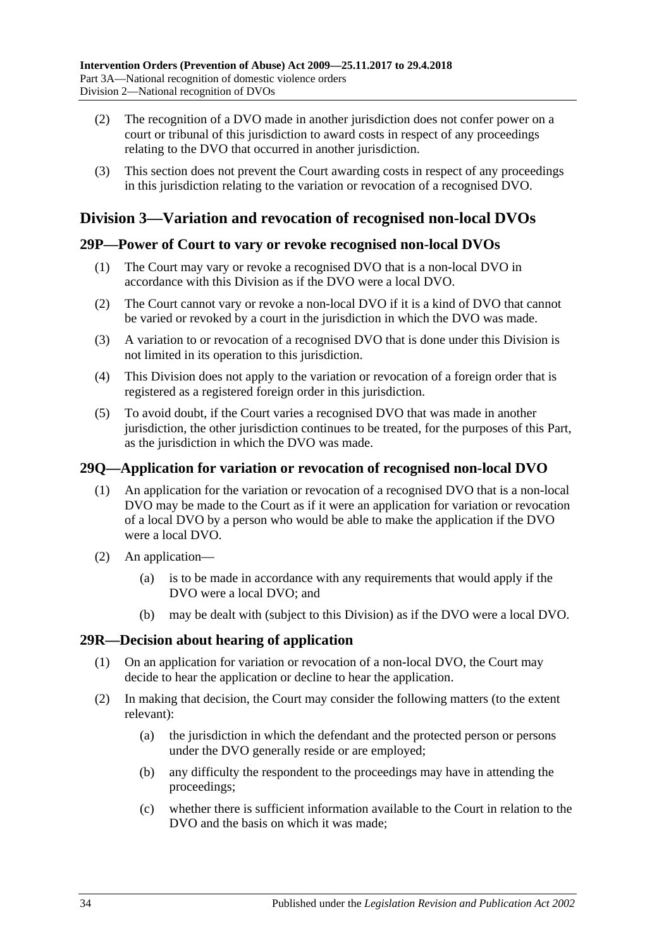- (2) The recognition of a DVO made in another jurisdiction does not confer power on a court or tribunal of this jurisdiction to award costs in respect of any proceedings relating to the DVO that occurred in another jurisdiction.
- (3) This section does not prevent the Court awarding costs in respect of any proceedings in this jurisdiction relating to the variation or revocation of a recognised DVO.

## <span id="page-33-0"></span>**Division 3—Variation and revocation of recognised non-local DVOs**

## <span id="page-33-1"></span>**29P—Power of Court to vary or revoke recognised non-local DVOs**

- (1) The Court may vary or revoke a recognised DVO that is a non-local DVO in accordance with this Division as if the DVO were a local DVO.
- (2) The Court cannot vary or revoke a non-local DVO if it is a kind of DVO that cannot be varied or revoked by a court in the jurisdiction in which the DVO was made.
- (3) A variation to or revocation of a recognised DVO that is done under this Division is not limited in its operation to this jurisdiction.
- (4) This Division does not apply to the variation or revocation of a foreign order that is registered as a registered foreign order in this jurisdiction.
- (5) To avoid doubt, if the Court varies a recognised DVO that was made in another jurisdiction, the other jurisdiction continues to be treated, for the purposes of this Part, as the jurisdiction in which the DVO was made.

## <span id="page-33-2"></span>**29Q—Application for variation or revocation of recognised non-local DVO**

- (1) An application for the variation or revocation of a recognised DVO that is a non-local DVO may be made to the Court as if it were an application for variation or revocation of a local DVO by a person who would be able to make the application if the DVO were a local DVO.
- (2) An application—
	- (a) is to be made in accordance with any requirements that would apply if the DVO were a local DVO; and
	- (b) may be dealt with (subject to this Division) as if the DVO were a local DVO.

## <span id="page-33-3"></span>**29R—Decision about hearing of application**

- (1) On an application for variation or revocation of a non-local DVO, the Court may decide to hear the application or decline to hear the application.
- (2) In making that decision, the Court may consider the following matters (to the extent relevant):
	- (a) the jurisdiction in which the defendant and the protected person or persons under the DVO generally reside or are employed;
	- (b) any difficulty the respondent to the proceedings may have in attending the proceedings;
	- (c) whether there is sufficient information available to the Court in relation to the DVO and the basis on which it was made;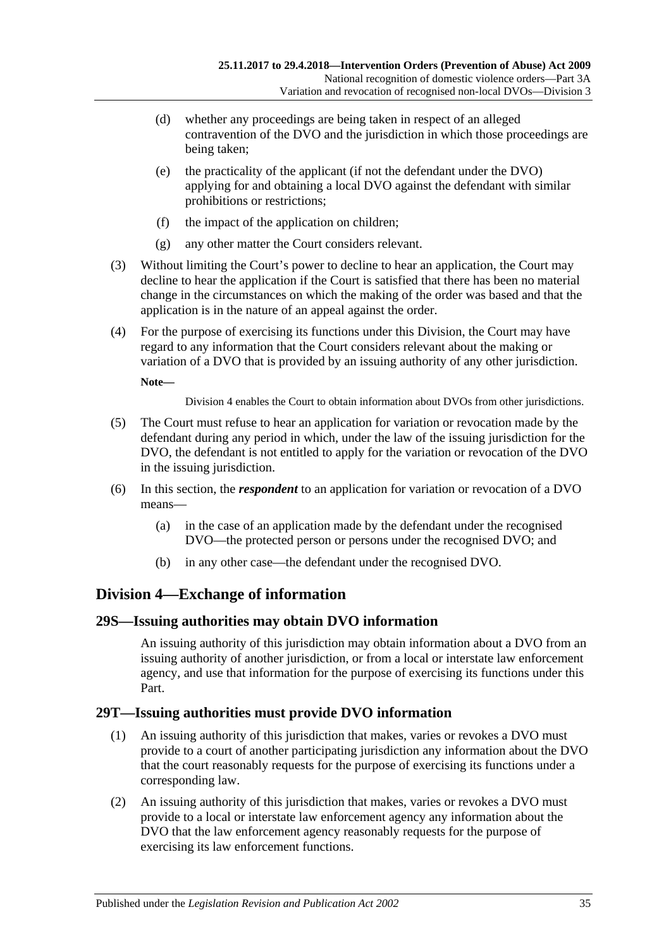- (d) whether any proceedings are being taken in respect of an alleged contravention of the DVO and the jurisdiction in which those proceedings are being taken;
- (e) the practicality of the applicant (if not the defendant under the DVO) applying for and obtaining a local DVO against the defendant with similar prohibitions or restrictions;
- (f) the impact of the application on children;
- (g) any other matter the Court considers relevant.
- (3) Without limiting the Court's power to decline to hear an application, the Court may decline to hear the application if the Court is satisfied that there has been no material change in the circumstances on which the making of the order was based and that the application is in the nature of an appeal against the order.
- (4) For the purpose of exercising its functions under this Division, the Court may have regard to any information that the Court considers relevant about the making or variation of a DVO that is provided by an issuing authority of any other jurisdiction.

**Note—**

[Division](#page-34-0) 4 enables the Court to obtain information about DVOs from other jurisdictions.

- (5) The Court must refuse to hear an application for variation or revocation made by the defendant during any period in which, under the law of the issuing jurisdiction for the DVO, the defendant is not entitled to apply for the variation or revocation of the DVO in the issuing jurisdiction.
- (6) In this section, the *respondent* to an application for variation or revocation of a DVO means—
	- (a) in the case of an application made by the defendant under the recognised DVO—the protected person or persons under the recognised DVO; and
	- (b) in any other case—the defendant under the recognised DVO.

## <span id="page-34-0"></span>**Division 4—Exchange of information**

## <span id="page-34-1"></span>**29S—Issuing authorities may obtain DVO information**

An issuing authority of this jurisdiction may obtain information about a DVO from an issuing authority of another jurisdiction, or from a local or interstate law enforcement agency, and use that information for the purpose of exercising its functions under this Part.

## <span id="page-34-2"></span>**29T—Issuing authorities must provide DVO information**

- (1) An issuing authority of this jurisdiction that makes, varies or revokes a DVO must provide to a court of another participating jurisdiction any information about the DVO that the court reasonably requests for the purpose of exercising its functions under a corresponding law.
- (2) An issuing authority of this jurisdiction that makes, varies or revokes a DVO must provide to a local or interstate law enforcement agency any information about the DVO that the law enforcement agency reasonably requests for the purpose of exercising its law enforcement functions.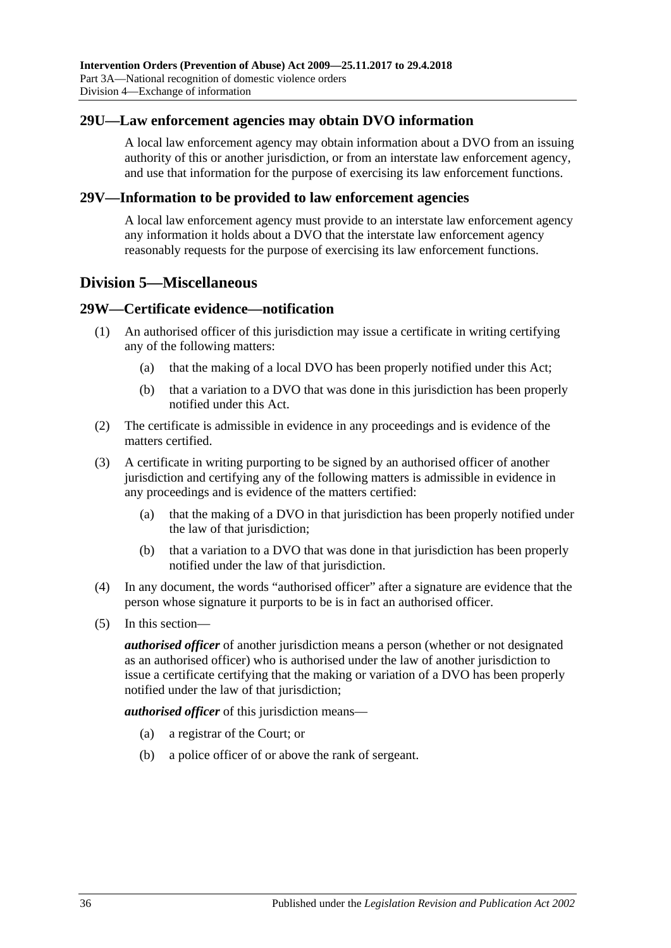### <span id="page-35-0"></span>**29U—Law enforcement agencies may obtain DVO information**

A local law enforcement agency may obtain information about a DVO from an issuing authority of this or another jurisdiction, or from an interstate law enforcement agency, and use that information for the purpose of exercising its law enforcement functions.

#### <span id="page-35-1"></span>**29V—Information to be provided to law enforcement agencies**

A local law enforcement agency must provide to an interstate law enforcement agency any information it holds about a DVO that the interstate law enforcement agency reasonably requests for the purpose of exercising its law enforcement functions.

## <span id="page-35-2"></span>**Division 5—Miscellaneous**

#### <span id="page-35-3"></span>**29W—Certificate evidence—notification**

- (1) An authorised officer of this jurisdiction may issue a certificate in writing certifying any of the following matters:
	- (a) that the making of a local DVO has been properly notified under this Act;
	- (b) that a variation to a DVO that was done in this jurisdiction has been properly notified under this Act.
- (2) The certificate is admissible in evidence in any proceedings and is evidence of the matters certified.
- (3) A certificate in writing purporting to be signed by an authorised officer of another jurisdiction and certifying any of the following matters is admissible in evidence in any proceedings and is evidence of the matters certified:
	- (a) that the making of a DVO in that jurisdiction has been properly notified under the law of that jurisdiction;
	- (b) that a variation to a DVO that was done in that jurisdiction has been properly notified under the law of that jurisdiction.
- (4) In any document, the words "authorised officer" after a signature are evidence that the person whose signature it purports to be is in fact an authorised officer.
- (5) In this section—

*authorised officer* of another jurisdiction means a person (whether or not designated as an authorised officer) who is authorised under the law of another jurisdiction to issue a certificate certifying that the making or variation of a DVO has been properly notified under the law of that jurisdiction;

*authorised officer* of this jurisdiction means—

- (a) a registrar of the Court; or
- (b) a police officer of or above the rank of sergeant.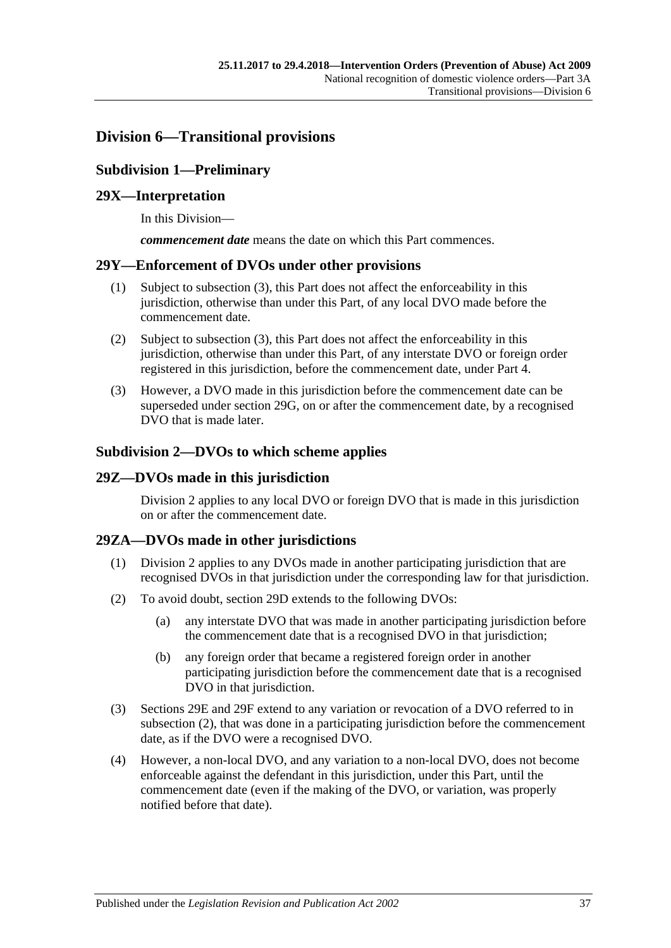## <span id="page-36-1"></span><span id="page-36-0"></span>**Division 6—Transitional provisions**

## **Subdivision 1—Preliminary**

## <span id="page-36-2"></span>**29X—Interpretation**

In this Division—

*commencement date* means the date on which this Part commences.

### <span id="page-36-3"></span>**29Y—Enforcement of DVOs under other provisions**

- (1) Subject to [subsection](#page-36-7) (3), this Part does not affect the enforceability in this jurisdiction, otherwise than under this Part, of any local DVO made before the commencement date.
- (2) Subject to [subsection](#page-36-7) (3), this Part does not affect the enforceability in this jurisdiction, otherwise than under this Part, of any interstate DVO or foreign order registered in this jurisdiction, before the commencement date, under [Part 4.](#page-38-2)
- <span id="page-36-7"></span>(3) However, a DVO made in this jurisdiction before the commencement date can be superseded under [section](#page-29-2) 29G, on or after the commencement date, by a recognised DVO that is made later.

### <span id="page-36-4"></span>**Subdivision 2—DVOs to which scheme applies**

### <span id="page-36-5"></span>**29Z—DVOs made in this jurisdiction**

[Division](#page-28-1) 2 applies to any local DVO or foreign DVO that is made in this jurisdiction on or after the commencement date.

## <span id="page-36-6"></span>**29ZA—DVOs made in other jurisdictions**

- (1) [Division](#page-28-1) 2 applies to any DVOs made in another participating jurisdiction that are recognised DVOs in that jurisdiction under the corresponding law for that jurisdiction.
- <span id="page-36-8"></span>(2) To avoid doubt, [section](#page-28-3) 29D extends to the following DVOs:
	- (a) any interstate DVO that was made in another participating jurisdiction before the commencement date that is a recognised DVO in that jurisdiction;
	- (b) any foreign order that became a registered foreign order in another participating jurisdiction before the commencement date that is a recognised DVO in that jurisdiction.
- (3) [Sections 29E](#page-29-0) and [29F](#page-29-1) extend to any variation or revocation of a DVO referred to in [subsection](#page-36-8) (2), that was done in a participating jurisdiction before the commencement date, as if the DVO were a recognised DVO.
- (4) However, a non-local DVO, and any variation to a non-local DVO, does not become enforceable against the defendant in this jurisdiction, under this Part, until the commencement date (even if the making of the DVO, or variation, was properly notified before that date).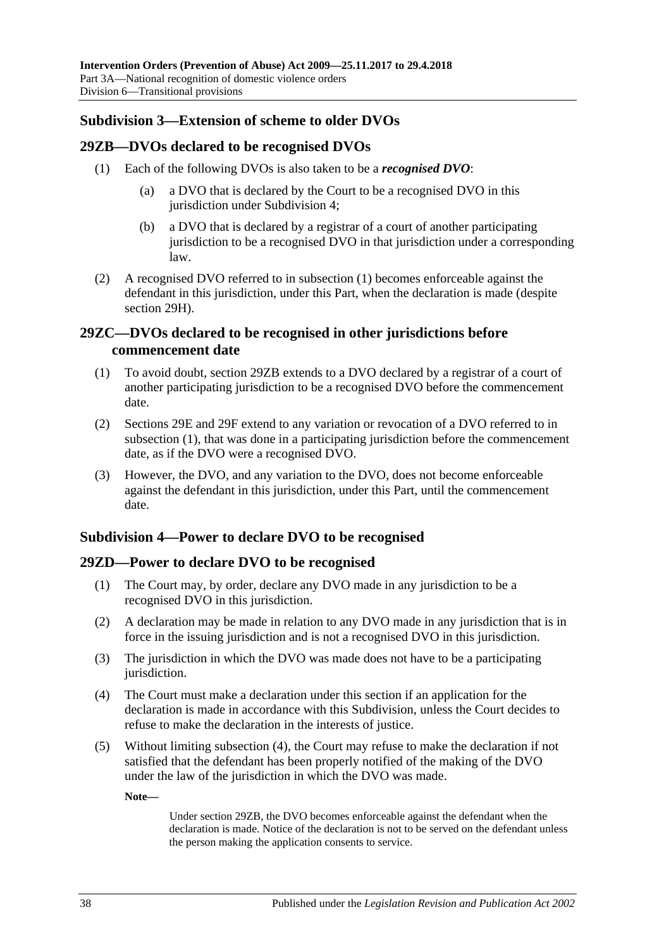### <span id="page-37-0"></span>**Subdivision 3—Extension of scheme to older DVOs**

#### <span id="page-37-5"></span><span id="page-37-1"></span>**29ZB—DVOs declared to be recognised DVOs**

- (1) Each of the following DVOs is also taken to be a *recognised DVO*:
	- (a) a DVO that is declared by the Court to be a recognised DVO in this jurisdiction under [Subdivision](#page-37-3) 4:
	- (b) a DVO that is declared by a registrar of a court of another participating jurisdiction to be a recognised DVO in that jurisdiction under a corresponding law.
- (2) A recognised DVO referred to in [subsection](#page-37-5) (1) becomes enforceable against the defendant in this jurisdiction, under this Part, when the declaration is made (despite [section](#page-30-0) 29H).

## <span id="page-37-2"></span>**29ZC—DVOs declared to be recognised in other jurisdictions before commencement date**

- <span id="page-37-6"></span>(1) To avoid doubt, [section](#page-37-1) 29ZB extends to a DVO declared by a registrar of a court of another participating jurisdiction to be a recognised DVO before the commencement date.
- (2) [Sections 29E](#page-29-0) and [29F](#page-29-1) extend to any variation or revocation of a DVO referred to in [subsection](#page-37-6) (1), that was done in a participating jurisdiction before the commencement date, as if the DVO were a recognised DVO.
- (3) However, the DVO, and any variation to the DVO, does not become enforceable against the defendant in this jurisdiction, under this Part, until the commencement date.

## <span id="page-37-3"></span>**Subdivision 4—Power to declare DVO to be recognised**

## <span id="page-37-4"></span>**29ZD—Power to declare DVO to be recognised**

- (1) The Court may, by order, declare any DVO made in any jurisdiction to be a recognised DVO in this jurisdiction.
- (2) A declaration may be made in relation to any DVO made in any jurisdiction that is in force in the issuing jurisdiction and is not a recognised DVO in this jurisdiction.
- (3) The jurisdiction in which the DVO was made does not have to be a participating jurisdiction.
- <span id="page-37-7"></span>(4) The Court must make a declaration under this section if an application for the declaration is made in accordance with this Subdivision, unless the Court decides to refuse to make the declaration in the interests of justice.
- (5) Without limiting [subsection](#page-37-7) (4), the Court may refuse to make the declaration if not satisfied that the defendant has been properly notified of the making of the DVO under the law of the jurisdiction in which the DVO was made.

**Note—**

Under [section](#page-37-1) 29ZB, the DVO becomes enforceable against the defendant when the declaration is made. Notice of the declaration is not to be served on the defendant unless the person making the application consents to service.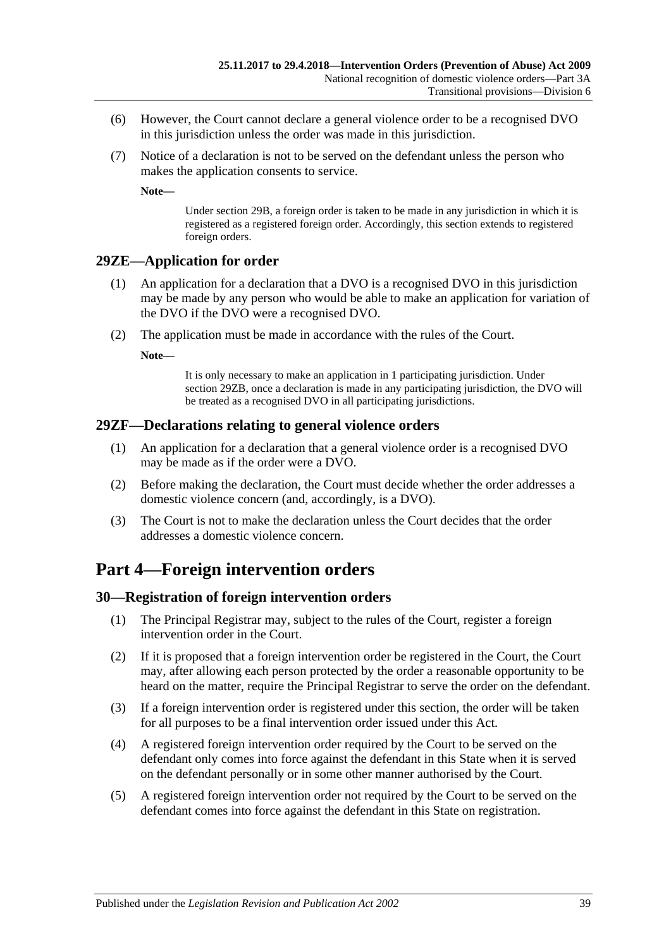- (6) However, the Court cannot declare a general violence order to be a recognised DVO in this jurisdiction unless the order was made in this jurisdiction.
- (7) Notice of a declaration is not to be served on the defendant unless the person who makes the application consents to service.

**Note—**

Under [section](#page-27-0) 29B, a foreign order is taken to be made in any jurisdiction in which it is registered as a registered foreign order. Accordingly, this section extends to registered foreign orders.

## <span id="page-38-0"></span>**29ZE—Application for order**

- (1) An application for a declaration that a DVO is a recognised DVO in this jurisdiction may be made by any person who would be able to make an application for variation of the DVO if the DVO were a recognised DVO.
- (2) The application must be made in accordance with the rules of the Court.

**Note—**

It is only necessary to make an application in 1 participating jurisdiction. Under [section](#page-37-1) 29ZB, once a declaration is made in any participating jurisdiction, the DVO will be treated as a recognised DVO in all participating jurisdictions.

#### <span id="page-38-1"></span>**29ZF—Declarations relating to general violence orders**

- (1) An application for a declaration that a general violence order is a recognised DVO may be made as if the order were a DVO.
- (2) Before making the declaration, the Court must decide whether the order addresses a domestic violence concern (and, accordingly, is a DVO).
- (3) The Court is not to make the declaration unless the Court decides that the order addresses a domestic violence concern.

## <span id="page-38-2"></span>**Part 4—Foreign intervention orders**

#### <span id="page-38-3"></span>**30—Registration of foreign intervention orders**

- (1) The Principal Registrar may, subject to the rules of the Court, register a foreign intervention order in the Court.
- (2) If it is proposed that a foreign intervention order be registered in the Court, the Court may, after allowing each person protected by the order a reasonable opportunity to be heard on the matter, require the Principal Registrar to serve the order on the defendant.
- (3) If a foreign intervention order is registered under this section, the order will be taken for all purposes to be a final intervention order issued under this Act.
- (4) A registered foreign intervention order required by the Court to be served on the defendant only comes into force against the defendant in this State when it is served on the defendant personally or in some other manner authorised by the Court.
- (5) A registered foreign intervention order not required by the Court to be served on the defendant comes into force against the defendant in this State on registration.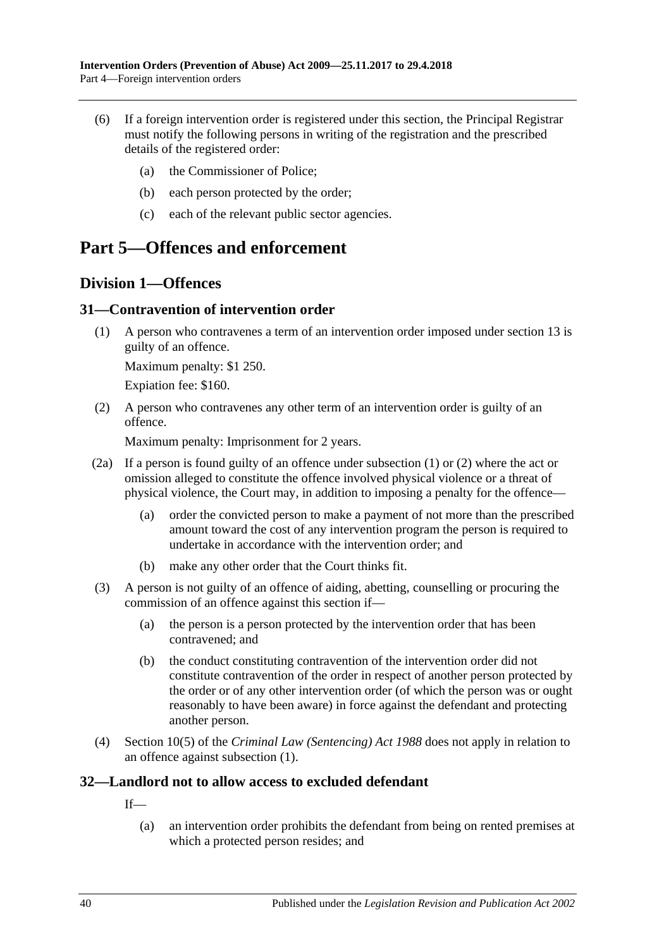- (6) If a foreign intervention order is registered under this section, the Principal Registrar must notify the following persons in writing of the registration and the prescribed details of the registered order:
	- (a) the Commissioner of Police;
	- (b) each person protected by the order;
	- (c) each of the relevant public sector agencies.

## <span id="page-39-0"></span>**Part 5—Offences and enforcement**

## <span id="page-39-1"></span>**Division 1—Offences**

## <span id="page-39-4"></span><span id="page-39-2"></span>**31—Contravention of intervention order**

(1) A person who contravenes a term of an intervention order imposed under [section](#page-13-0) 13 is guilty of an offence.

Maximum penalty: \$1 250.

Expiation fee: \$160.

<span id="page-39-5"></span>(2) A person who contravenes any other term of an intervention order is guilty of an offence.

Maximum penalty: Imprisonment for 2 years.

- (2a) If a person is found guilty of an offence under [subsection](#page-39-4) (1) or [\(2\)](#page-39-5) where the act or omission alleged to constitute the offence involved physical violence or a threat of physical violence, the Court may, in addition to imposing a penalty for the offence—
	- (a) order the convicted person to make a payment of not more than the prescribed amount toward the cost of any intervention program the person is required to undertake in accordance with the intervention order; and
	- (b) make any other order that the Court thinks fit.
- (3) A person is not guilty of an offence of aiding, abetting, counselling or procuring the commission of an offence against this section if—
	- (a) the person is a person protected by the intervention order that has been contravened; and
	- (b) the conduct constituting contravention of the intervention order did not constitute contravention of the order in respect of another person protected by the order or of any other intervention order (of which the person was or ought reasonably to have been aware) in force against the defendant and protecting another person.
- (4) Section 10(5) of the *[Criminal Law \(Sentencing\) Act](http://www.legislation.sa.gov.au/index.aspx?action=legref&type=act&legtitle=Criminal%20Law%20(Sentencing)%20Act%201988) 1988* does not apply in relation to an offence against [subsection](#page-39-4) (1).

## <span id="page-39-3"></span>**32—Landlord not to allow access to excluded defendant**

If—

(a) an intervention order prohibits the defendant from being on rented premises at which a protected person resides; and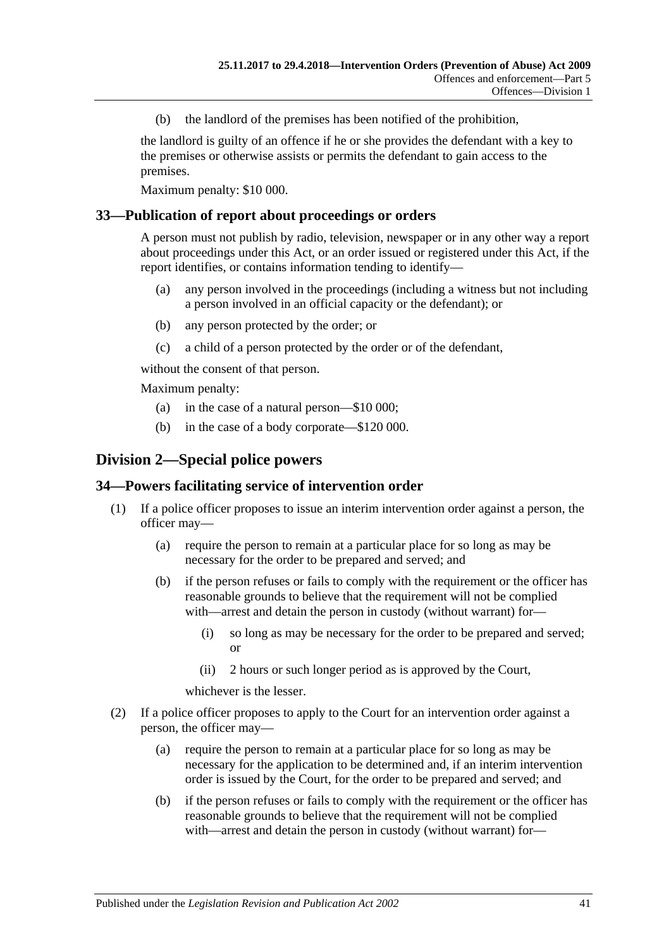(b) the landlord of the premises has been notified of the prohibition,

the landlord is guilty of an offence if he or she provides the defendant with a key to the premises or otherwise assists or permits the defendant to gain access to the premises.

Maximum penalty: \$10 000.

### <span id="page-40-0"></span>**33—Publication of report about proceedings or orders**

A person must not publish by radio, television, newspaper or in any other way a report about proceedings under this Act, or an order issued or registered under this Act, if the report identifies, or contains information tending to identify—

- (a) any person involved in the proceedings (including a witness but not including a person involved in an official capacity or the defendant); or
- (b) any person protected by the order; or
- (c) a child of a person protected by the order or of the defendant,

without the consent of that person.

Maximum penalty:

- (a) in the case of a natural person—\$10 000;
- (b) in the case of a body corporate—\$120 000.

## <span id="page-40-1"></span>**Division 2—Special police powers**

#### <span id="page-40-2"></span>**34—Powers facilitating service of intervention order**

- (1) If a police officer proposes to issue an interim intervention order against a person, the officer may—
	- (a) require the person to remain at a particular place for so long as may be necessary for the order to be prepared and served; and
	- (b) if the person refuses or fails to comply with the requirement or the officer has reasonable grounds to believe that the requirement will not be complied with—arrest and detain the person in custody (without warrant) for—
		- (i) so long as may be necessary for the order to be prepared and served; or
		- (ii) 2 hours or such longer period as is approved by the Court,

whichever is the lesser.

- (2) If a police officer proposes to apply to the Court for an intervention order against a person, the officer may—
	- (a) require the person to remain at a particular place for so long as may be necessary for the application to be determined and, if an interim intervention order is issued by the Court, for the order to be prepared and served; and
	- (b) if the person refuses or fails to comply with the requirement or the officer has reasonable grounds to believe that the requirement will not be complied with—arrest and detain the person in custody (without warrant) for—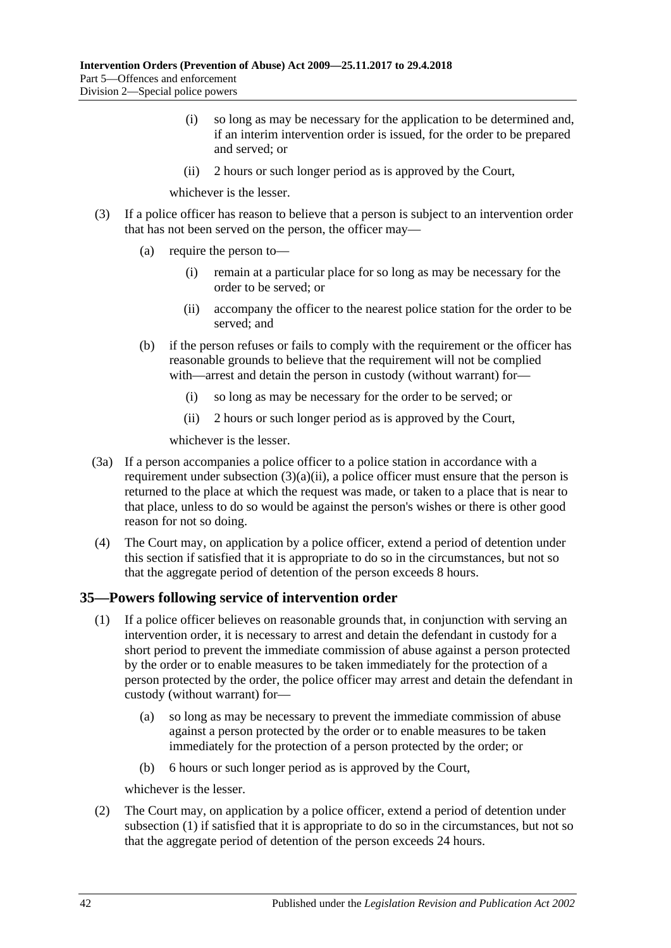- (i) so long as may be necessary for the application to be determined and, if an interim intervention order is issued, for the order to be prepared and served; or
- (ii) 2 hours or such longer period as is approved by the Court,

whichever is the lesser.

- <span id="page-41-1"></span>(3) If a police officer has reason to believe that a person is subject to an intervention order that has not been served on the person, the officer may—
	- (a) require the person to—
		- (i) remain at a particular place for so long as may be necessary for the order to be served; or
		- (ii) accompany the officer to the nearest police station for the order to be served; and
	- (b) if the person refuses or fails to comply with the requirement or the officer has reasonable grounds to believe that the requirement will not be complied with—arrest and detain the person in custody (without warrant) for—
		- (i) so long as may be necessary for the order to be served; or
		- (ii) 2 hours or such longer period as is approved by the Court,

whichever is the lesser.

- (3a) If a person accompanies a police officer to a police station in accordance with a requirement under [subsection](#page-41-1)  $(3)(a)(ii)$ , a police officer must ensure that the person is returned to the place at which the request was made, or taken to a place that is near to that place, unless to do so would be against the person's wishes or there is other good reason for not so doing.
- (4) The Court may, on application by a police officer, extend a period of detention under this section if satisfied that it is appropriate to do so in the circumstances, but not so that the aggregate period of detention of the person exceeds 8 hours.

## <span id="page-41-2"></span><span id="page-41-0"></span>**35—Powers following service of intervention order**

- (1) If a police officer believes on reasonable grounds that, in conjunction with serving an intervention order, it is necessary to arrest and detain the defendant in custody for a short period to prevent the immediate commission of abuse against a person protected by the order or to enable measures to be taken immediately for the protection of a person protected by the order, the police officer may arrest and detain the defendant in custody (without warrant) for—
	- (a) so long as may be necessary to prevent the immediate commission of abuse against a person protected by the order or to enable measures to be taken immediately for the protection of a person protected by the order; or
	- (b) 6 hours or such longer period as is approved by the Court,

whichever is the lesser.

(2) The Court may, on application by a police officer, extend a period of detention under [subsection](#page-41-2) (1) if satisfied that it is appropriate to do so in the circumstances, but not so that the aggregate period of detention of the person exceeds 24 hours.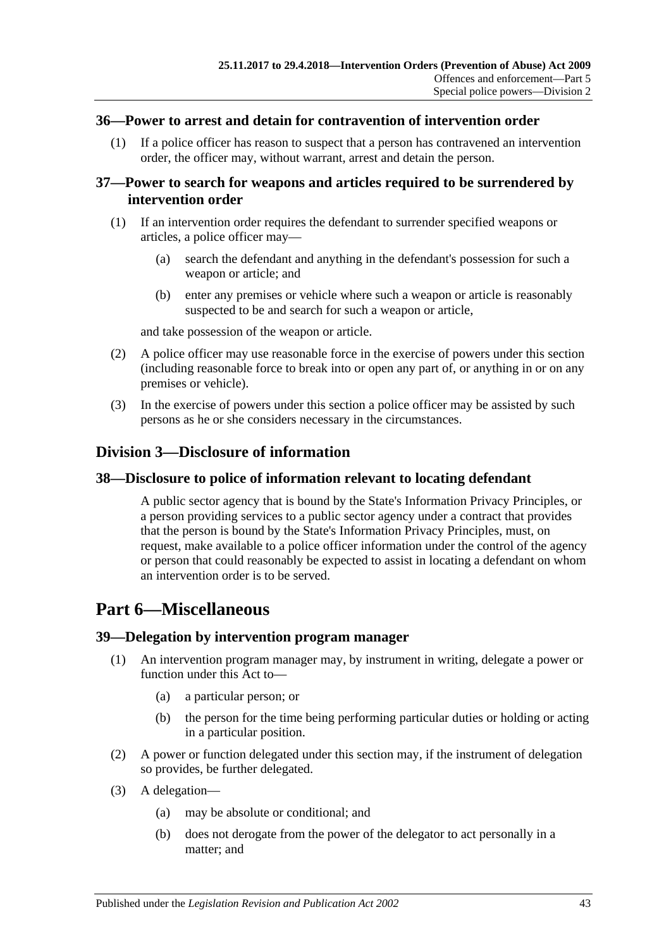#### <span id="page-42-0"></span>**36—Power to arrest and detain for contravention of intervention order**

(1) If a police officer has reason to suspect that a person has contravened an intervention order, the officer may, without warrant, arrest and detain the person.

## <span id="page-42-1"></span>**37—Power to search for weapons and articles required to be surrendered by intervention order**

- (1) If an intervention order requires the defendant to surrender specified weapons or articles, a police officer may—
	- (a) search the defendant and anything in the defendant's possession for such a weapon or article; and
	- (b) enter any premises or vehicle where such a weapon or article is reasonably suspected to be and search for such a weapon or article,

and take possession of the weapon or article.

- (2) A police officer may use reasonable force in the exercise of powers under this section (including reasonable force to break into or open any part of, or anything in or on any premises or vehicle).
- (3) In the exercise of powers under this section a police officer may be assisted by such persons as he or she considers necessary in the circumstances.

## <span id="page-42-2"></span>**Division 3—Disclosure of information**

### <span id="page-42-3"></span>**38—Disclosure to police of information relevant to locating defendant**

A public sector agency that is bound by the State's Information Privacy Principles, or a person providing services to a public sector agency under a contract that provides that the person is bound by the State's Information Privacy Principles, must, on request, make available to a police officer information under the control of the agency or person that could reasonably be expected to assist in locating a defendant on whom an intervention order is to be served.

## <span id="page-42-4"></span>**Part 6—Miscellaneous**

#### <span id="page-42-5"></span>**39—Delegation by intervention program manager**

- (1) An intervention program manager may, by instrument in writing, delegate a power or function under this Act to—
	- (a) a particular person; or
	- (b) the person for the time being performing particular duties or holding or acting in a particular position.
- (2) A power or function delegated under this section may, if the instrument of delegation so provides, be further delegated.
- (3) A delegation—
	- (a) may be absolute or conditional; and
	- (b) does not derogate from the power of the delegator to act personally in a matter; and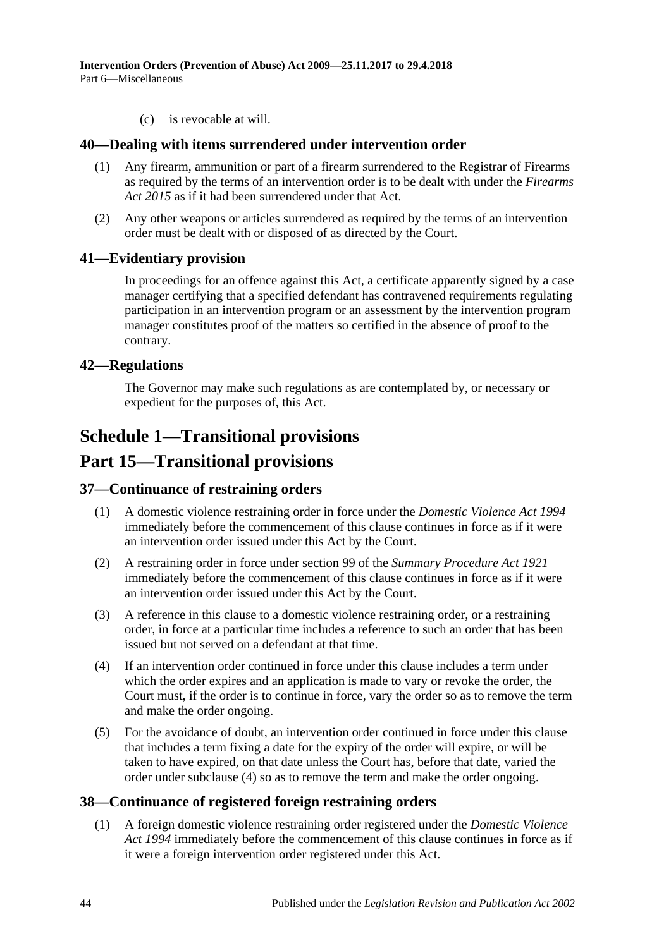(c) is revocable at will.

### <span id="page-43-0"></span>**40—Dealing with items surrendered under intervention order**

- (1) Any firearm, ammunition or part of a firearm surrendered to the Registrar of Firearms as required by the terms of an intervention order is to be dealt with under the *[Firearms](http://www.legislation.sa.gov.au/index.aspx?action=legref&type=act&legtitle=Firearms%20Act%202015)  Act [2015](http://www.legislation.sa.gov.au/index.aspx?action=legref&type=act&legtitle=Firearms%20Act%202015)* as if it had been surrendered under that Act.
- (2) Any other weapons or articles surrendered as required by the terms of an intervention order must be dealt with or disposed of as directed by the Court.

## <span id="page-43-1"></span>**41—Evidentiary provision**

In proceedings for an offence against this Act, a certificate apparently signed by a case manager certifying that a specified defendant has contravened requirements regulating participation in an intervention program or an assessment by the intervention program manager constitutes proof of the matters so certified in the absence of proof to the contrary.

## <span id="page-43-2"></span>**42—Regulations**

The Governor may make such regulations as are contemplated by, or necessary or expedient for the purposes of, this Act.

## <span id="page-43-3"></span>**Schedule 1—Transitional provisions**

## **Part 15—Transitional provisions**

#### <span id="page-43-4"></span>**37—Continuance of restraining orders**

- (1) A domestic violence restraining order in force under the *[Domestic Violence Act](http://www.legislation.sa.gov.au/index.aspx?action=legref&type=act&legtitle=Domestic%20Violence%20Act%201994) 1994* immediately before the commencement of this clause continues in force as if it were an intervention order issued under this Act by the Court.
- (2) A restraining order in force under section 99 of the *[Summary Procedure Act](http://www.legislation.sa.gov.au/index.aspx?action=legref&type=act&legtitle=Summary%20Procedure%20Act%201921) 1921* immediately before the commencement of this clause continues in force as if it were an intervention order issued under this Act by the Court.
- (3) A reference in this clause to a domestic violence restraining order, or a restraining order, in force at a particular time includes a reference to such an order that has been issued but not served on a defendant at that time.
- <span id="page-43-6"></span>(4) If an intervention order continued in force under this clause includes a term under which the order expires and an application is made to vary or revoke the order, the Court must, if the order is to continue in force, vary the order so as to remove the term and make the order ongoing.
- (5) For the avoidance of doubt, an intervention order continued in force under this clause that includes a term fixing a date for the expiry of the order will expire, or will be taken to have expired, on that date unless the Court has, before that date, varied the order under [subclause](#page-43-6) (4) so as to remove the term and make the order ongoing.

## <span id="page-43-5"></span>**38—Continuance of registered foreign restraining orders**

(1) A foreign domestic violence restraining order registered under the *[Domestic Violence](http://www.legislation.sa.gov.au/index.aspx?action=legref&type=act&legtitle=Domestic%20Violence%20Act%201994)  Act [1994](http://www.legislation.sa.gov.au/index.aspx?action=legref&type=act&legtitle=Domestic%20Violence%20Act%201994)* immediately before the commencement of this clause continues in force as if it were a foreign intervention order registered under this Act.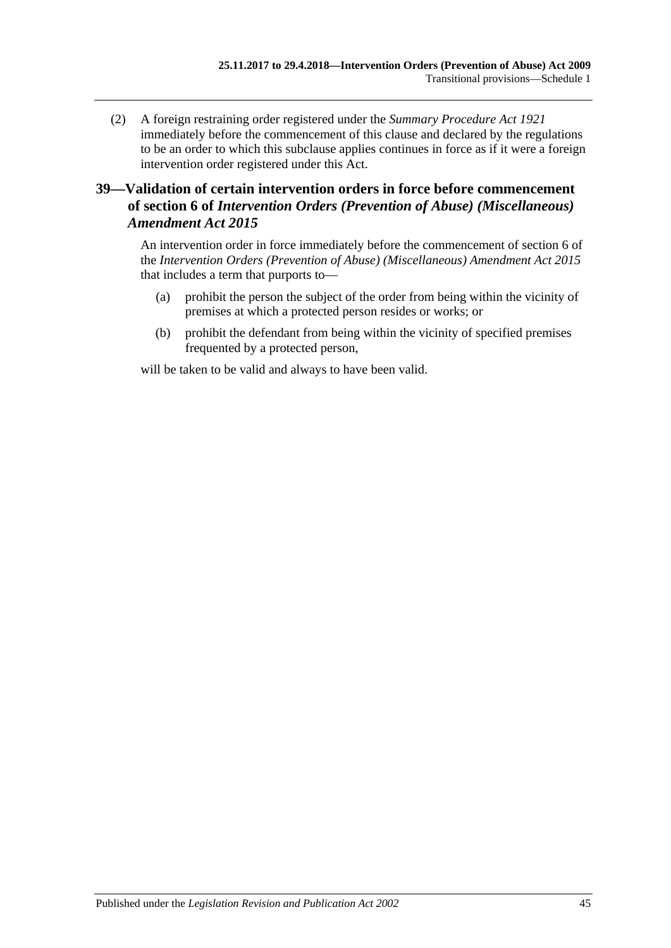(2) A foreign restraining order registered under the *[Summary Procedure Act](http://www.legislation.sa.gov.au/index.aspx?action=legref&type=act&legtitle=Summary%20Procedure%20Act%201921) 1921* immediately before the commencement of this clause and declared by the regulations to be an order to which this subclause applies continues in force as if it were a foreign intervention order registered under this Act.

## <span id="page-44-0"></span>**39—Validation of certain intervention orders in force before commencement of section 6 of** *Intervention Orders (Prevention of Abuse) (Miscellaneous) Amendment Act 2015*

An intervention order in force immediately before the commencement of section 6 of the *[Intervention Orders \(Prevention of Abuse\) \(Miscellaneous\) Amendment Act](http://www.legislation.sa.gov.au/index.aspx?action=legref&type=act&legtitle=Intervention%20Orders%20(Prevention%20of%20Abuse)%20(Miscellaneous)%20Amendment%20Act%202015) 2015* that includes a term that purports to—

- (a) prohibit the person the subject of the order from being within the vicinity of premises at which a protected person resides or works; or
- (b) prohibit the defendant from being within the vicinity of specified premises frequented by a protected person,

will be taken to be valid and always to have been valid.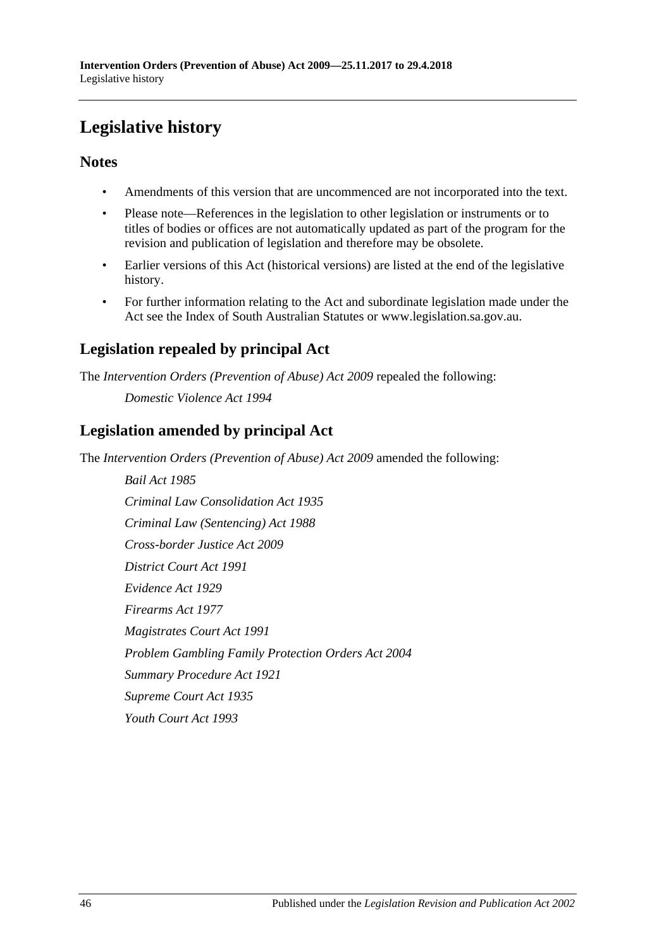# <span id="page-45-0"></span>**Legislative history**

## **Notes**

- Amendments of this version that are uncommenced are not incorporated into the text.
- Please note—References in the legislation to other legislation or instruments or to titles of bodies or offices are not automatically updated as part of the program for the revision and publication of legislation and therefore may be obsolete.
- Earlier versions of this Act (historical versions) are listed at the end of the legislative history.
- For further information relating to the Act and subordinate legislation made under the Act see the Index of South Australian Statutes or www.legislation.sa.gov.au.

## **Legislation repealed by principal Act**

The *Intervention Orders (Prevention of Abuse) Act 2009* repealed the following:

*Domestic Violence Act 1994*

## **Legislation amended by principal Act**

The *Intervention Orders (Prevention of Abuse) Act 2009* amended the following:

*Bail Act 1985 Criminal Law Consolidation Act 1935 Criminal Law (Sentencing) Act 1988 Cross-border Justice Act 2009 District Court Act 1991 Evidence Act 1929 Firearms Act 1977 Magistrates Court Act 1991 Problem Gambling Family Protection Orders Act 2004 Summary Procedure Act 1921 Supreme Court Act 1935 Youth Court Act 1993*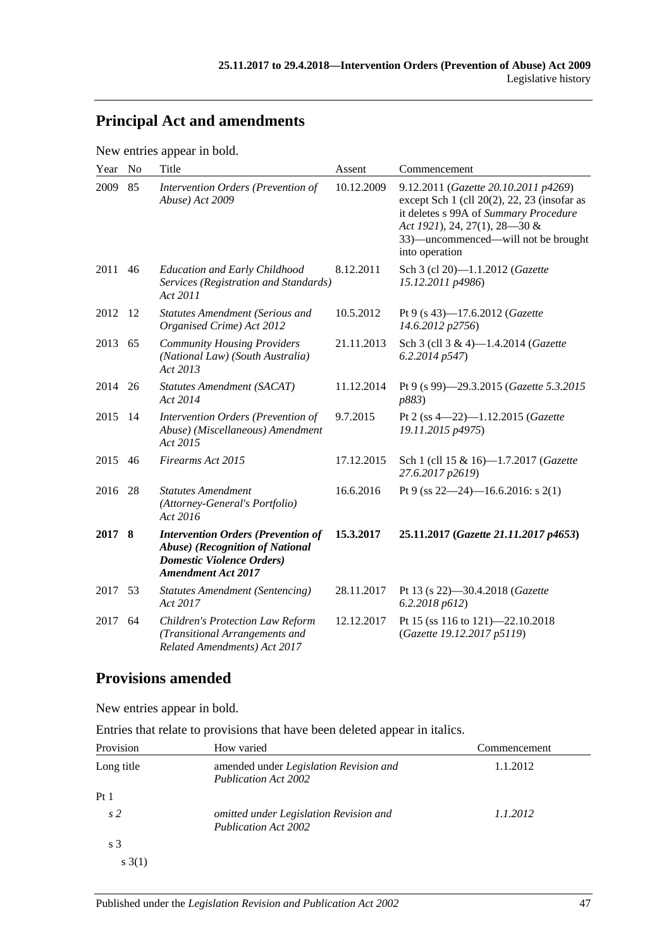## **Principal Act and amendments**

New entries appear in bold.

| Year    | N <sub>o</sub> | Title                                                                                                                                          | Assent     | Commencement                                                                                                                                                                                                                |
|---------|----------------|------------------------------------------------------------------------------------------------------------------------------------------------|------------|-----------------------------------------------------------------------------------------------------------------------------------------------------------------------------------------------------------------------------|
| 2009    | 85             | Intervention Orders (Prevention of<br>Abuse) Act 2009                                                                                          | 10.12.2009 | 9.12.2011 (Gazette 20.10.2011 p4269)<br>except Sch $1$ (cll $20(2)$ , 22, 23 (insofar as<br>it deletes s 99A of Summary Procedure<br>Act 1921), 24, 27(1), 28-30 &<br>33)—uncommenced—will not be brought<br>into operation |
| 2011    | 46             | <b>Education and Early Childhood</b><br>Services (Registration and Standards)<br>Act 2011                                                      | 8.12.2011  | Sch 3 (cl 20)-1.1.2012 (Gazette<br>15.12.2011 p4986)                                                                                                                                                                        |
| 2012    | -12            | <b>Statutes Amendment (Serious and</b><br>Organised Crime) Act 2012                                                                            | 10.5.2012  | Pt 9 (s 43)-17.6.2012 (Gazette<br>14.6.2012 p2756)                                                                                                                                                                          |
| 2013    | 65             | <b>Community Housing Providers</b><br>(National Law) (South Australia)<br>Act 2013                                                             | 21.11.2013 | Sch 3 (cll 3 & 4)-1.4.2014 (Gazette<br>6.2.2014p547                                                                                                                                                                         |
| 2014    | 26             | Statutes Amendment (SACAT)<br>Act 2014                                                                                                         | 11.12.2014 | Pt 9 (s 99)-29.3.2015 (Gazette 5.3.2015<br>p883)                                                                                                                                                                            |
| 2015    | -14            | Intervention Orders (Prevention of<br>Abuse) (Miscellaneous) Amendment<br>Act 2015                                                             | 9.7.2015   | Pt 2 (ss $4-22$ )-1.12.2015 (Gazette<br>19.11.2015 p4975)                                                                                                                                                                   |
| 2015    | 46             | Firearms Act 2015                                                                                                                              | 17.12.2015 | Sch 1 (cll 15 & 16)-1.7.2017 (Gazette<br>27.6.2017 p2619)                                                                                                                                                                   |
| 2016    | 28             | <b>Statutes Amendment</b><br>(Attorney-General's Portfolio)<br>Act 2016                                                                        | 16.6.2016  | Pt 9 (ss $22-24$ )-16.6.2016: s 2(1)                                                                                                                                                                                        |
| 2017 8  |                | <b>Intervention Orders (Prevention of</b><br>Abuse) (Recognition of National<br><b>Domestic Violence Orders</b> )<br><b>Amendment Act 2017</b> | 15.3.2017  | 25.11.2017 (Gazette 21.11.2017 p4653)                                                                                                                                                                                       |
| 2017 53 |                | <b>Statutes Amendment (Sentencing)</b><br>Act 2017                                                                                             | 28.11.2017 | Pt 13 (s 22)-30.4.2018 (Gazette<br>6.2.2018 p612                                                                                                                                                                            |
| 2017    | 64             | <b>Children's Protection Law Reform</b><br>(Transitional Arrangements and<br>Related Amendments) Act 2017                                      | 12.12.2017 | Pt 15 (ss 116 to 121)-22.10.2018<br>(Gazette 19.12.2017 p5119)                                                                                                                                                              |

## **Provisions amended**

New entries appear in bold.

| Entries that relate to provisions that have been deleted appear in italics. |  |  |  |
|-----------------------------------------------------------------------------|--|--|--|
|-----------------------------------------------------------------------------|--|--|--|

| Provision       | How varied                                                            | Commencement |
|-----------------|-----------------------------------------------------------------------|--------------|
| Long title      | amended under Legislation Revision and<br><b>Publication Act 2002</b> | 1.1.2012     |
| Pt <sub>1</sub> |                                                                       |              |
| s <sub>2</sub>  | omitted under Legislation Revision and<br><b>Publication Act 2002</b> | 1.1.2012     |
| s <sub>3</sub>  |                                                                       |              |
| s(3(1))         |                                                                       |              |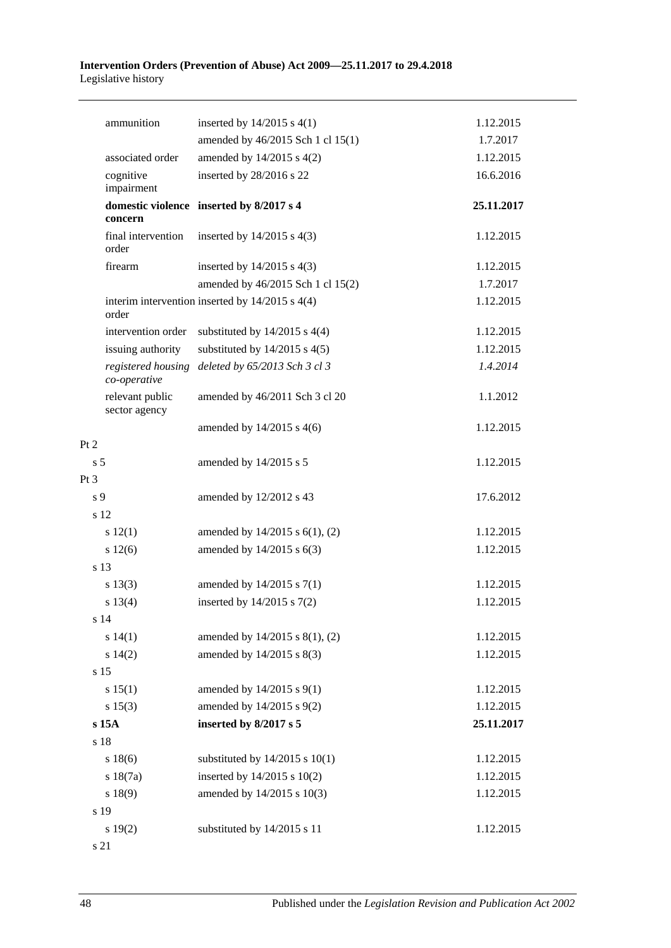#### **Intervention Orders (Prevention of Abuse) Act 2009—25.11.2017 to 29.4.2018** Legislative history

| ammunition                         | inserted by $14/2015$ s $4(1)$                      | 1.12.2015  |
|------------------------------------|-----------------------------------------------------|------------|
|                                    | amended by 46/2015 Sch 1 cl 15(1)                   | 1.7.2017   |
| associated order                   | amended by 14/2015 s 4(2)                           | 1.12.2015  |
| cognitive<br>impairment            | inserted by 28/2016 s 22                            | 16.6.2016  |
| concern                            | domestic violence inserted by 8/2017 s 4            | 25.11.2017 |
| final intervention<br>order        | inserted by $14/2015$ s $4(3)$                      | 1.12.2015  |
| firearm                            | inserted by $14/2015$ s $4(3)$                      | 1.12.2015  |
|                                    | amended by 46/2015 Sch 1 cl 15(2)                   | 1.7.2017   |
| order                              | interim intervention inserted by $14/2015$ s $4(4)$ | 1.12.2015  |
| intervention order                 | substituted by $14/2015$ s $4(4)$                   | 1.12.2015  |
| issuing authority                  | substituted by $14/2015$ s $4(5)$                   | 1.12.2015  |
| registered housing<br>co-operative | deleted by 65/2013 Sch 3 cl 3                       | 1.4.2014   |
| relevant public<br>sector agency   | amended by 46/2011 Sch 3 cl 20                      | 1.1.2012   |
|                                    | amended by 14/2015 s 4(6)                           | 1.12.2015  |
| Pt 2                               |                                                     |            |
| s <sub>5</sub>                     | amended by 14/2015 s 5                              | 1.12.2015  |
| Pt <sub>3</sub>                    |                                                     |            |
| s 9                                | amended by 12/2012 s 43                             | 17.6.2012  |
| s 12                               |                                                     |            |
| 12(1)                              | amended by $14/2015$ s $6(1)$ , (2)                 | 1.12.2015  |
| s 12(6)                            | amended by 14/2015 s 6(3)                           | 1.12.2015  |
| s 13                               |                                                     |            |
| $s\ 13(3)$                         | amended by 14/2015 s 7(1)                           | 1.12.2015  |
| s 13(4)                            | inserted by $14/2015$ s $7(2)$                      | 1.12.2015  |
| s 14                               |                                                     |            |
| s 14(1)                            | amended by 14/2015 s 8(1), (2)                      | 1.12.2015  |
| s 14(2)                            | amended by 14/2015 s 8(3)                           | 1.12.2015  |
| s 15                               |                                                     |            |
| s 15(1)                            | amended by 14/2015 s 9(1)                           | 1.12.2015  |
| s 15(3)                            | amended by 14/2015 s 9(2)                           | 1.12.2015  |
| s 15A                              | inserted by 8/2017 s 5                              | 25.11.2017 |
| s 18                               |                                                     |            |
| s 18(6)                            | substituted by $14/2015$ s $10(1)$                  | 1.12.2015  |
| s 18(7a)                           | inserted by $14/2015$ s $10(2)$                     | 1.12.2015  |
| s 18(9)                            | amended by 14/2015 s 10(3)                          | 1.12.2015  |
| s 19                               |                                                     |            |
| s 19(2)                            | substituted by 14/2015 s 11                         | 1.12.2015  |
|                                    |                                                     |            |

s 21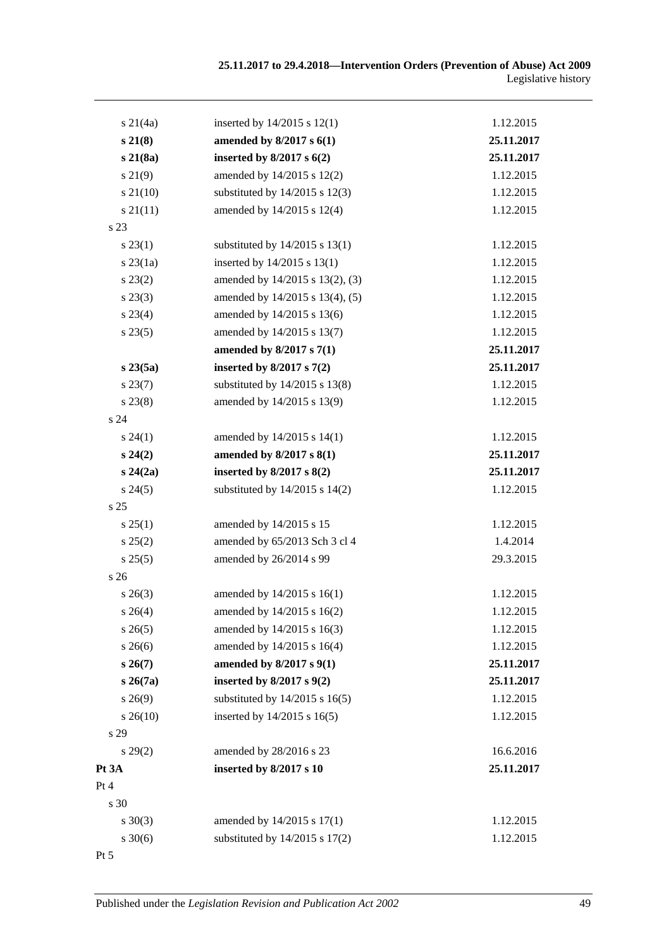| $s \, 21(4a)$   | inserted by $14/2015$ s $12(1)$    | 1.12.2015  |
|-----------------|------------------------------------|------------|
| $s\,21(8)$      | amended by $8/2017$ s $6(1)$       | 25.11.2017 |
| s21(8a)         | inserted by $8/2017$ s $6(2)$      | 25.11.2017 |
| $s\,21(9)$      | amended by 14/2015 s 12(2)         | 1.12.2015  |
| $s\,21(10)$     | substituted by $14/2015$ s $12(3)$ | 1.12.2015  |
| $s \, 21(11)$   | amended by 14/2015 s 12(4)         | 1.12.2015  |
| s 23            |                                    |            |
| $s\,23(1)$      | substituted by $14/2015$ s $13(1)$ | 1.12.2015  |
| $s$ 23 $(1a)$   | inserted by 14/2015 s 13(1)        | 1.12.2015  |
| $s\,23(2)$      | amended by 14/2015 s 13(2), (3)    | 1.12.2015  |
| $s\,23(3)$      | amended by 14/2015 s 13(4), (5)    | 1.12.2015  |
| $s\,23(4)$      | amended by 14/2015 s 13(6)         | 1.12.2015  |
| $s\,23(5)$      | amended by 14/2015 s 13(7)         | 1.12.2015  |
|                 | amended by 8/2017 s 7(1)           | 25.11.2017 |
| s23(5a)         | inserted by $8/2017$ s $7(2)$      | 25.11.2017 |
| $s\,23(7)$      | substituted by $14/2015$ s $13(8)$ | 1.12.2015  |
| $s\,23(8)$      | amended by 14/2015 s 13(9)         | 1.12.2015  |
| s <sub>24</sub> |                                    |            |
| $s\,24(1)$      | amended by 14/2015 s 14(1)         | 1.12.2015  |
| $s\,24(2)$      | amended by 8/2017 s 8(1)           | 25.11.2017 |
| $s\,24(2a)$     | inserted by $8/2017$ s $8(2)$      | 25.11.2017 |
| $s\,24(5)$      | substituted by $14/2015$ s $14(2)$ | 1.12.2015  |
| s <sub>25</sub> |                                    |            |
| s 25(1)         | amended by 14/2015 s 15            | 1.12.2015  |
| s 25(2)         | amended by 65/2013 Sch 3 cl 4      | 1.4.2014   |
| s 25(5)         | amended by 26/2014 s 99            | 29.3.2015  |
| s <sub>26</sub> |                                    |            |
| $s \; 26(3)$    | amended by 14/2015 s 16(1)         | 1.12.2015  |
| $s \, 26(4)$    | amended by $14/2015$ s $16(2)$     | 1.12.2015  |
| $s\,26(5)$      | amended by 14/2015 s 16(3)         | 1.12.2015  |
| $s \, 26(6)$    | amended by 14/2015 s 16(4)         | 1.12.2015  |
| $s\,26(7)$      | amended by 8/2017 s 9(1)           | 25.11.2017 |
| $s \, 26(7a)$   | inserted by $8/2017$ s $9(2)$      | 25.11.2017 |
| $s\,26(9)$      | substituted by $14/2015$ s $16(5)$ | 1.12.2015  |
| $s\,26(10)$     | inserted by $14/2015$ s $16(5)$    | 1.12.2015  |
| s 29            |                                    |            |
| $s\,29(2)$      | amended by 28/2016 s 23            | 16.6.2016  |
| Pt 3A           | inserted by 8/2017 s 10            | 25.11.2017 |
| Pt 4            |                                    |            |
| s 30            |                                    |            |
| $s \ 30(3)$     | amended by 14/2015 s 17(1)         | 1.12.2015  |
| $s \ 30(6)$     | substituted by $14/2015$ s $17(2)$ | 1.12.2015  |
| $Pt\,5$         |                                    |            |